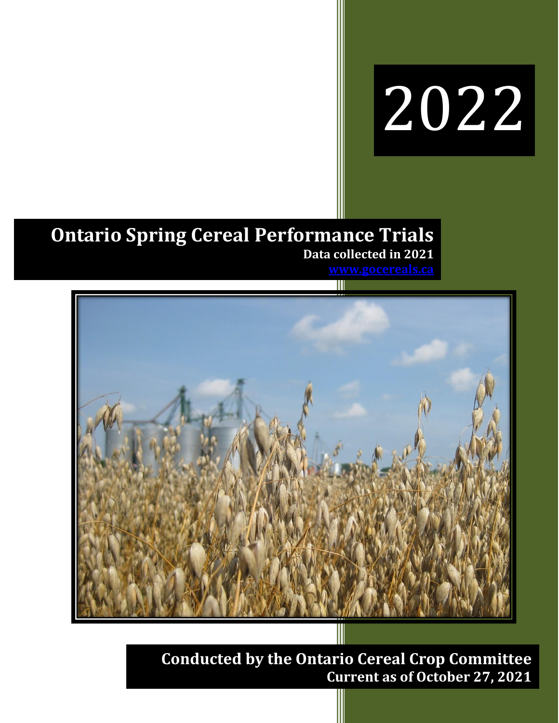# 2022

## **Ontario Spring Cereal Performance Trials Data collected in 2021**



**Conducted by the Ontario Cereal Crop Committee Current as of October 27, 2021**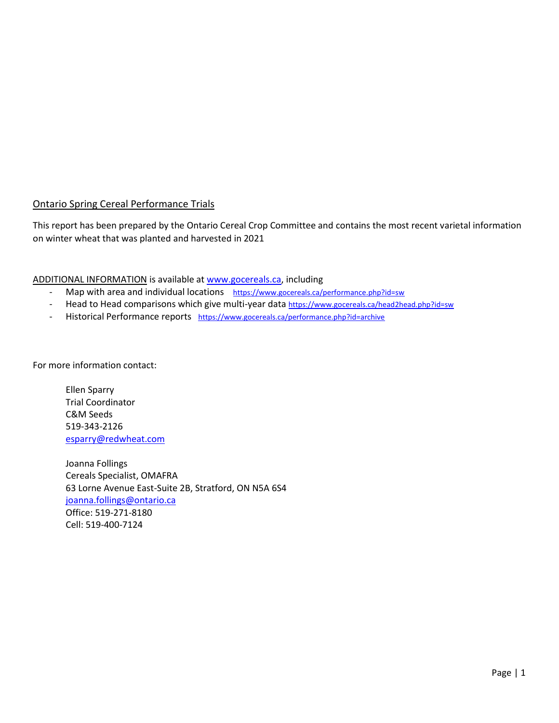#### Ontario Spring Cereal Performance Trials

This report has been prepared by the Ontario Cereal Crop Committee and contains the most recent varietal information on winter wheat that was planted and harvested in 2021

ADDITIONAL INFORMATION is available a[t www.gocereals.ca,](http://www.gocereals.ca/) including

- Map with area and individual locations <https://www.gocereals.ca/performance.php?id=sw>
- Head to Head comparisons which give multi-year data <https://www.gocereals.ca/head2head.php?id=sw>
- Historical Performance reports <https://www.gocereals.ca/performance.php?id=archive>

For more information contact:

Ellen Sparry Trial Coordinator C&M Seeds 519-343-2126 [esparry@redwheat.com](mailto:esparry@redwheat.com)

Joanna Follings Cereals Specialist, OMAFRA 63 Lorne Avenue East-Suite 2B, Stratford, ON N5A 6S4 [joanna.follings@ontario.ca](mailto:joanna.follings@ontario.ca) Office: 519-271-8180 Cell: 519-400-7124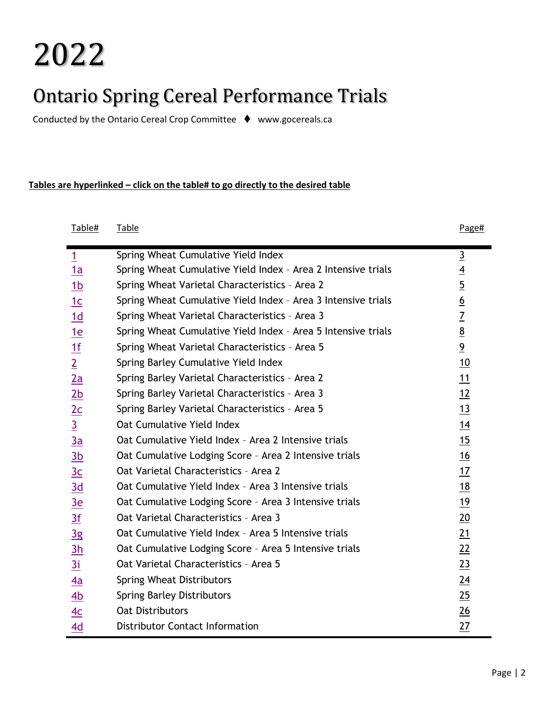# 2022

# Ontario Spring Cereal Performance Trials

Conducted by the Ontario Cereal Crop Committee ⧫ www.gocereals.ca

#### **Tables are hyperlinked – click on the table# to go directly to the desired table**

| Table#         | <u>Table</u>                                                  | Page#            |
|----------------|---------------------------------------------------------------|------------------|
| $\overline{1}$ | Spring Wheat Cumulative Yield Index                           | $\overline{3}$   |
| 1a             | Spring Wheat Cumulative Yield Index - Area 2 Intensive trials | $\overline{4}$   |
| 1 <sub>b</sub> | Spring Wheat Varietal Characteristics - Area 2                | $\overline{5}$   |
| 1c             | Spring Wheat Cumulative Yield Index - Area 3 Intensive trials | $\underline{6}$  |
| 1d             | Spring Wheat Varietal Characteristics - Area 3                | $\overline{1}$   |
| 1e             | Spring Wheat Cumulative Yield Index - Area 5 Intensive trials | $\underline{8}$  |
| 1f             | Spring Wheat Varietal Characteristics - Area 5                | $\overline{9}$   |
| $\overline{2}$ | Spring Barley Cumulative Yield Index                          | 10               |
| 2a             | Spring Barley Varietal Characteristics - Area 2               | 11               |
| 2 <sub>b</sub> | Spring Barley Varietal Characteristics - Area 3               | 12               |
| 2c             | Spring Barley Varietal Characteristics - Area 5               | 13               |
| $\overline{3}$ | Oat Cumulative Yield Index                                    | 14               |
| 3a             | Oat Cumulative Yield Index - Area 2 Intensive trials          | 15               |
| 3 <sub>b</sub> | Oat Cumulative Lodging Score - Area 2 Intensive trials        | 16               |
| 3c             | Oat Varietal Characteristics - Area 2                         | 17               |
| 3d             | Oat Cumulative Yield Index - Area 3 Intensive trials          | 18               |
| 3e             | Oat Cumulative Lodging Score - Area 3 Intensive trials        | 19               |
| 3f             | Oat Varietal Characteristics - Area 3                         | $\underline{20}$ |
| 3g             | Oat Cumulative Yield Index - Area 5 Intensive trials          | 21               |
| 3h             | Oat Cumulative Lodging Score - Area 5 Intensive trials        | 22               |
| 3i             | Oat Varietal Characteristics - Area 5                         | 23               |
| 4a             | <b>Spring Wheat Distributors</b>                              | 24               |
| 4b             | <b>Spring Barley Distributors</b>                             | 25               |
| 4 <sub>C</sub> | <b>Oat Distributors</b>                                       | 26               |
| 4d             | <b>Distributor Contact Information</b>                        | 27               |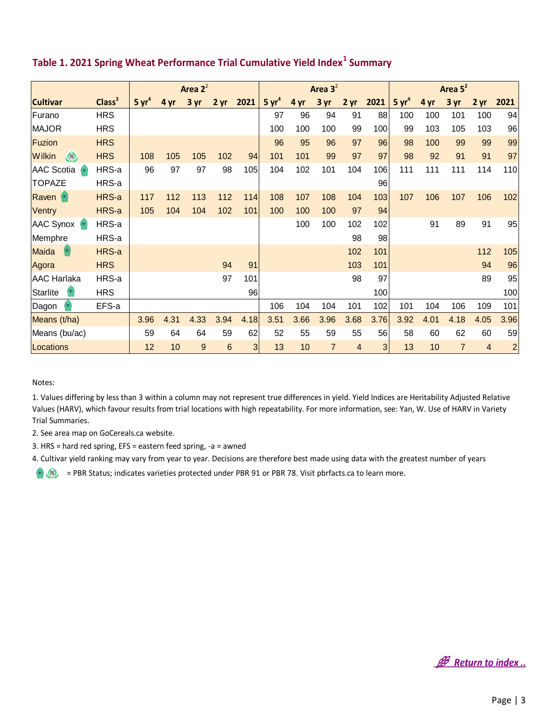|                          |                    | Area $2^2$        |      |      |      |                | Area $3^2$        |      |      |      |                | Area 5 <sup>2</sup> |      |      |                 |                |
|--------------------------|--------------------|-------------------|------|------|------|----------------|-------------------|------|------|------|----------------|---------------------|------|------|-----------------|----------------|
| <b>Cultivar</b>          | Class <sup>3</sup> | 5 yr <sup>4</sup> | 4 yr | 3 yr | 2 yr | 2021           | 5 yr <sup>4</sup> | 4 yr | 3yr  | 2 yr | 2021           | 5 yr <sup>4</sup>   | 4 yr | 3 yr | 2 <sub>yr</sub> | 2021           |
| Furano                   | <b>HRS</b>         |                   |      |      |      |                | 97                | 96   | 94   | 91   | 88             | 100                 | 100  | 101  | 100             | 94             |
| <b>MAJOR</b>             | <b>HRS</b>         |                   |      |      |      |                | 100               | 100  | 100  | 99   | 100            | 99                  | 103  | 105  | 103             | 96             |
| Fuzion                   | <b>HRS</b>         |                   |      |      |      |                | 96                | 95   | 96   | 97   | 96             | 98                  | 100  | 99   | 99              | 99             |
| $\circledcirc$<br>Wilkin | <b>HRS</b>         | 108               | 105  | 105  | 102  | 94             | 101               | 101  | 99   | 97   | 97             | 98                  | 92   | 91   | 91              | 97             |
| AAC Scotia<br>(91)       | HRS-a              | 96                | 97   | 97   | 98   | 105            | 104               | 102  | 101  | 104  | 106            | 111                 | 111  | 111  | 114             | 110            |
| <b>TOPAZE</b>            | HRS-a              |                   |      |      |      |                |                   |      |      |      | 96             |                     |      |      |                 |                |
| Raven <sup>(91)</sup>    | HRS-a              | 117               | 112  | 113  | 112  | 114            | 108               | 107  | 108  | 104  | 103            | 107                 | 106  | 107  | 106             | 102            |
| Ventry                   | HRS-a              | 105               | 104  | 104  | 102  | 101            | 100               | 100  | 100  | 97   | 94             |                     |      |      |                 |                |
| <b>AAC Synox</b> (91)    | HRS-a              |                   |      |      |      |                |                   | 100  | 100  | 102  | 102            |                     | 91   | 89   | 91              | 95             |
| Memphre                  | HRS-a              |                   |      |      |      |                |                   |      |      | 98   | 98             |                     |      |      |                 |                |
| 91<br>Maida              | HRS-a              |                   |      |      |      |                |                   |      |      | 102  | 101            |                     |      |      | 112             | 105            |
| Agora                    | <b>HRS</b>         |                   |      |      | 94   | 91             |                   |      |      | 103  | 101            |                     |      |      | 94              | 96             |
| <b>AAC Harlaka</b>       | HRS-a              |                   |      |      | 97   | 101            |                   |      |      | 98   | 97             |                     |      |      | 89              | 95             |
| <b>Starlite</b><br>91    | <b>HRS</b>         |                   |      |      |      | 96             |                   |      |      |      | 100            |                     |      |      |                 | 100            |
| Dagon                    | EFS-a              |                   |      |      |      |                | 106               | 104  | 104  | 101  | 102            | 101                 | 104  | 106  | 109             | 101            |
| Means (t/ha)             |                    | 3.96              | 4.31 | 4.33 | 3.94 | 4.18           | 3.51              | 3.66 | 3.96 | 3.68 | 3.76           | 3.92                | 4.01 | 4.18 | 4.05            | 3.96           |
| Means (bu/ac)            |                    | 59                | 64   | 64   | 59   | 62             | 52                | 55   | 59   | 55   | 56             | 58                  | 60   | 62   | 60              | 59             |
| Locations                |                    | 12                | 10   | 9    | 6    | 3 <sup>1</sup> | 13                | 10   | 7    | 4    | 3 <sup>1</sup> | 13                  | 10   | 7    | $\overline{4}$  | $\overline{a}$ |

#### <span id="page-3-0"></span>**Table 1. 2021 Spring Wheat Performance Trial Cumulative Yield Index<sup>1</sup> Summary**

Notes:

1. Values differing by less than 3 within a column may not represent true differences in yield. Yield Indices are Heritability Adjusted Relative Values (HARV), which favour results from trial locations with high repeatability. For more information, see: Yan, W. Use of HARV in Variety Trial Summaries.

2. See area map on GoCereals.ca website.

3. HRS = hard red spring, EFS = eastern feed spring, -a = awned

4. Cultivar yield ranking may vary from year to year. Decisions are therefore best made using data with the greatest number of years

**B** Return to index ..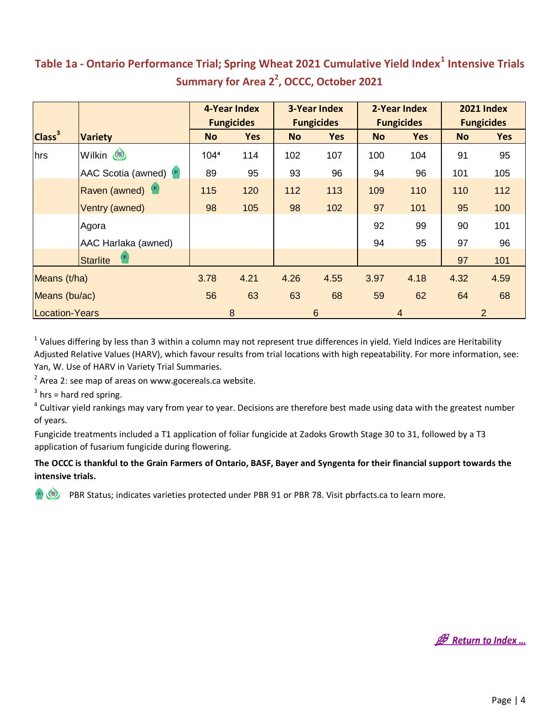#### <span id="page-4-0"></span>**Table 1a - Ontario Performance Trial; Spring Wheat 2021 Cumulative Yield Index<sup>1</sup> Intensive Trials Summary for Area 2<sup>2</sup> , OCCC, October 2021**

|                       |                     |           | 4-Year Index      |           | <b>3-Year Index</b> |           | 2-Year Index      |                | <b>2021 Index</b> |
|-----------------------|---------------------|-----------|-------------------|-----------|---------------------|-----------|-------------------|----------------|-------------------|
|                       |                     |           | <b>Fungicides</b> |           | <b>Fungicides</b>   |           | <b>Fungicides</b> |                | <b>Fungicides</b> |
| Class <sup>3</sup>    | <b>Variety</b>      | <b>No</b> | <b>Yes</b>        | <b>No</b> | <b>Yes</b>          | <b>No</b> | <b>Yes</b>        | <b>No</b>      | <b>Yes</b>        |
| hrs                   | Wilkin (            | 1044      | 114               | 102       | 107                 | 100       | 104               | 91             | 95                |
|                       | AAC Scotia (awned)  | 89        | 95                | 93        | 96                  | 94        | 96                | 101            | 105               |
|                       | Raven (awned)       | 115       | 120               | 112       | 113                 | 109       | 110               | 110            | 112               |
|                       | Ventry (awned)      | 98        | 105               | 98        | 102                 | 97        | 101               | 95             | 100               |
|                       | Agora               |           |                   |           |                     | 92        | 99                | 90             | 101               |
|                       | AAC Harlaka (awned) |           |                   |           |                     | 94        | 95                | 97             | 96                |
|                       | <b>Starlite</b>     |           |                   |           |                     |           |                   | 97             | 101               |
| Means (t/ha)          |                     | 3.78      | 4.21              | 4.26      | 4.55                | 3.97      | 4.18              | 4.32           | 4.59              |
| Means (bu/ac)         |                     | 56        | 63                | 63        | 68                  | 59        | 62                | 64             | 68                |
| <b>Location-Years</b> |                     |           | 8                 |           | $6\phantom{1}6$     |           | 4                 | $\overline{2}$ |                   |

 $1$  Values differing by less than 3 within a column may not represent true differences in yield. Yield Indices are Heritability Adjusted Relative Values (HARV), which favour results from trial locations with high repeatability. For more information, see: Yan, W. Use of HARV in Variety Trial Summaries.

 $2$  Area 2: see map of areas on www.gocereals.ca website.

 $3$  hrs = hard red spring.

<sup>4</sup> Cultivar yield rankings may vary from year to year. Decisions are therefore best made using data with the greatest number of years.

Fungicide treatments included a T1 application of foliar fungicide at Zadoks Growth Stage 30 to 31, followed by a T3 application of fusarium fungicide during flowering.

#### **The OCCC is thankful to the Grain Farmers of Ontario, BASF, Bayer and Syngenta for their financial support towards the intensive trials.**

**B** Return to Index ...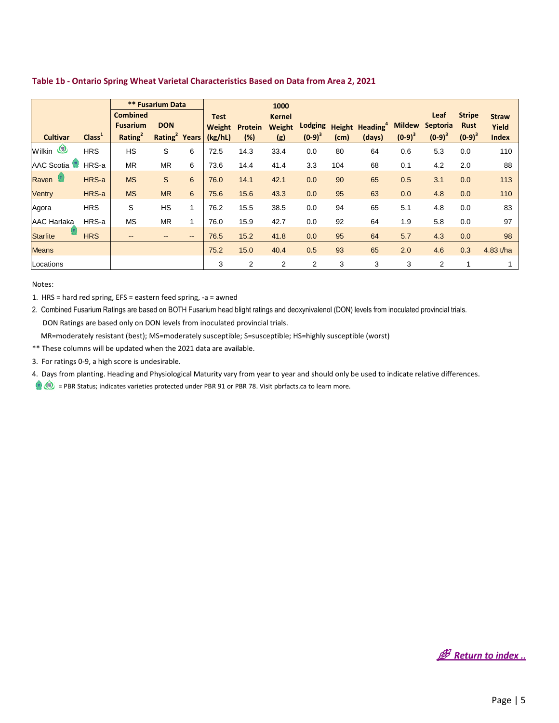|                       |                    |                     | <b>** Fusarium Data</b>   |                          |             |         | 1000          |           |      |                                   |               |                 |               |              |
|-----------------------|--------------------|---------------------|---------------------------|--------------------------|-------------|---------|---------------|-----------|------|-----------------------------------|---------------|-----------------|---------------|--------------|
|                       |                    | <b>Combined</b>     |                           |                          | <b>Test</b> |         | <b>Kernel</b> |           |      |                                   |               | Leaf            | <b>Stripe</b> | <b>Straw</b> |
|                       |                    | <b>Fusarium</b>     | <b>DON</b>                |                          | Weight      | Protein | <b>Weight</b> | Lodging   |      | <b>Height Heading<sup>4</sup></b> | <b>Mildew</b> | <b>Septoria</b> | <b>Rust</b>   | Yield        |
| <b>Cultivar</b>       | Class <sup>1</sup> | Rating <sup>2</sup> | Rating <sup>2</sup> Years |                          | (kg/hL)     | (%)     | (g)           | $(0-9)^3$ | (cm) | (days)                            | $(0-9)^3$     | $(0-9)^3$       | $(0-9)^3$     | <b>Index</b> |
| Wilkin (              | <b>HRS</b>         | <b>HS</b>           | S                         | 6                        | 72.5        | 14.3    | 33.4          | 0.0       | 80   | 64                                | 0.6           | 5.3             | 0.0           | 110          |
| AAC Scotia            | HRS-a              | <b>MR</b>           | <b>MR</b>                 | 6                        | 73.6        | 14.4    | 41.4          | 3.3       | 104  | 68                                | 0.1           | 4.2             | 2.0           | 88           |
| Raven <sup>(st)</sup> | HRS-a              | <b>MS</b>           | $\mathsf{S}$              | 6                        | 76.0        | 14.1    | 42.1          | 0.0       | 90   | 65                                | 0.5           | 3.1             | 0.0           | 113          |
| Ventry                | HRS-a              | <b>MS</b>           | <b>MR</b>                 | 6                        | 75.6        | 15.6    | 43.3          | 0.0       | 95   | 63                                | 0.0           | 4.8             | 0.0           | 110          |
| Agora                 | <b>HRS</b>         | S                   | <b>HS</b>                 | $\mathbf{1}$             | 76.2        | 15.5    | 38.5          | 0.0       | 94   | 65                                | 5.1           | 4.8             | 0.0           | 83           |
| <b>AAC Harlaka</b>    | HRS-a              | <b>MS</b>           | <b>MR</b>                 | $\mathbf{1}$             | 76.0        | 15.9    | 42.7          | 0.0       | 92   | 64                                | 1.9           | 5.8             | 0.0           | 97           |
| <b>Starlite</b>       | <b>HRS</b>         | $- -$               | $\qquad \qquad \cdots$    | $\overline{\phantom{a}}$ | 76.5        | 15.2    | 41.8          | 0.0       | 95   | 64                                | 5.7           | 4.3             | 0.0           | 98           |
| <b>Means</b>          |                    |                     |                           |                          | 75.2        | 15.0    | 40.4          | 0.5       | 93   | 65                                | 2.0           | 4.6             | 0.3           | 4.83 t/ha    |
| Locations             |                    |                     |                           |                          | 3           | 2       | 2             | 2         | 3    | 3                                 | 3             | $\overline{2}$  |               |              |

#### <span id="page-5-0"></span>**Table 1b - Ontario Spring Wheat Varietal Characteristics Based on Data from Area 2, 2021**

Notes:

1. HRS = hard red spring, EFS = eastern feed spring, -a = awned

2. Combined Fusarium Ratings are based on BOTH Fusarium head blight ratings and deoxynivalenol (DON) levels from inoculated provincial trials. DON Ratings are based only on DON levels from inoculated provincial trials.

MR=moderately resistant (best); MS=moderately susceptible; S=susceptible; HS=highly susceptible (worst)

\*\* These columns will be updated when the 2021 data are available.

3. For ratings 0-9, a high score is undesirable.

4. Days from planting. Heading and Physiological Maturity vary from year to year and should only be used to indicate relative differences.

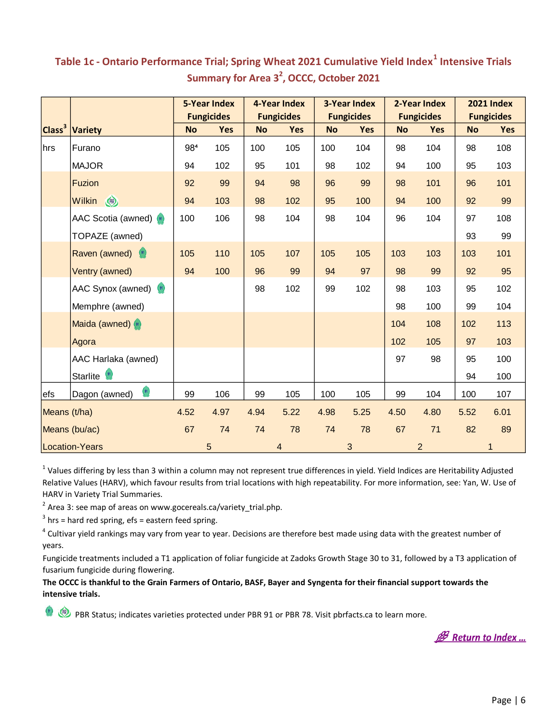|                    |                                                |           | <b>5-Year Index</b> |           | 4-Year Index      |           | <b>3-Year Index</b> |           | 2-Year Index      |           | <b>2021 Index</b> |
|--------------------|------------------------------------------------|-----------|---------------------|-----------|-------------------|-----------|---------------------|-----------|-------------------|-----------|-------------------|
|                    |                                                |           | <b>Fungicides</b>   |           | <b>Fungicides</b> |           | <b>Fungicides</b>   |           | <b>Fungicides</b> |           | <b>Fungicides</b> |
| Class <sup>3</sup> | <b>Variety</b>                                 | <b>No</b> | <b>Yes</b>          | <b>No</b> | <b>Yes</b>        | <b>No</b> | Yes                 | <b>No</b> | <b>Yes</b>        | <b>No</b> | <b>Yes</b>        |
| hrs                | Furano                                         | 984       | 105                 | 100       | 105               | 100       | 104                 | 98        | 104               | 98        | 108               |
|                    | <b>MAJOR</b>                                   | 94        | 102                 | 95        | 101               | 98        | 102                 | 94        | 100               | 95        | 103               |
|                    | <b>Fuzion</b>                                  | 92        | 99                  | 94        | 98                | 96        | 99                  | 98        | 101               | 96        | 101               |
|                    | <b>CB</b><br><b>Wilkin</b>                     | 94        | 103                 | 98        | 102               | 95        | 100                 | 94        | 100               | 92        | 99                |
|                    | AAC Scotia (awned) (91)                        | 100       | 106                 | 98        | 104               | 98        | 104                 | 96        | 104               | 97        | 108               |
|                    | TOPAZE (awned)                                 |           |                     |           |                   |           |                     |           |                   | 93        | 99                |
|                    | Raven (awned)                                  | 105       | 110                 | 105       | 107               | 105       | 105                 | 103       | 103               | 103       | 101               |
|                    | Ventry (awned)                                 | 94        | 100                 | 96        | 99                | 94        | 97                  | 98        | 99                | 92        | 95                |
|                    | AAC Synox (awned) (91)                         |           |                     | 98        | 102               | 99        | 102                 | 98        | 103               | 95        | 102               |
|                    | Memphre (awned)                                |           |                     |           |                   |           |                     | 98        | 100               | 99        | 104               |
|                    | Maida (awned) (91)                             |           |                     |           |                   |           |                     | 104       | 108               | 102       | 113               |
|                    | Agora                                          |           |                     |           |                   |           |                     | 102       | 105               | 97        | 103               |
|                    | AAC Harlaka (awned)                            |           |                     |           |                   |           |                     | 97        | 98                | 95        | 100               |
|                    | Starlite <sup>91</sup>                         |           |                     |           |                   |           |                     |           |                   | 94        | 100               |
| efs                | $\left( \frac{91}{2} \right)$<br>Dagon (awned) | 99        | 106                 | 99        | 105               | 100       | 105                 | 99        | 104               | 100       | 107               |
| Means (t/ha)       |                                                | 4.52      | 4.97                | 4.94      | 5.22              | 4.98      | 5.25                | 4.50      | 4.80              | 5.52      | 6.01              |
|                    | Means (bu/ac)                                  | 67        | 74                  | 74        | 78                | 74        | 78                  | 67        | 71                | 82        | 89                |
|                    | Location-Years                                 |           | 5                   |           | 4                 |           | 3                   |           | $\overline{2}$    |           | 1                 |

#### <span id="page-6-0"></span>**Table 1c - Ontario Performance Trial; Spring Wheat 2021 Cumulative Yield Index<sup>1</sup> Intensive Trials Summary for Area 3<sup>2</sup> , OCCC, October 2021**

 $^1$  Values differing by less than 3 within a column may not represent true differences in yield. Yield Indices are Heritability Adjusted Relative Values (HARV), which favour results from trial locations with high repeatability. For more information, see: Yan, W. Use of HARV in Variety Trial Summaries.

 $2$  Area 3: see map of areas on www.gocereals.ca/variety\_trial.php.

 $3$  hrs = hard red spring, efs = eastern feed spring.

 $(91)$ 

<sup>4</sup> Cultivar yield rankings may vary from year to year. Decisions are therefore best made using data with the greatest number of years.

Fungicide treatments included a T1 application of foliar fungicide at Zadoks Growth Stage 30 to 31, followed by a T3 application of fusarium fungicide during flowering.

**The OCCC is thankful to the Grain Farmers of Ontario, BASF, Bayer and Syngenta for their financial support towards the intensive trials.**

**B** Return to Index ...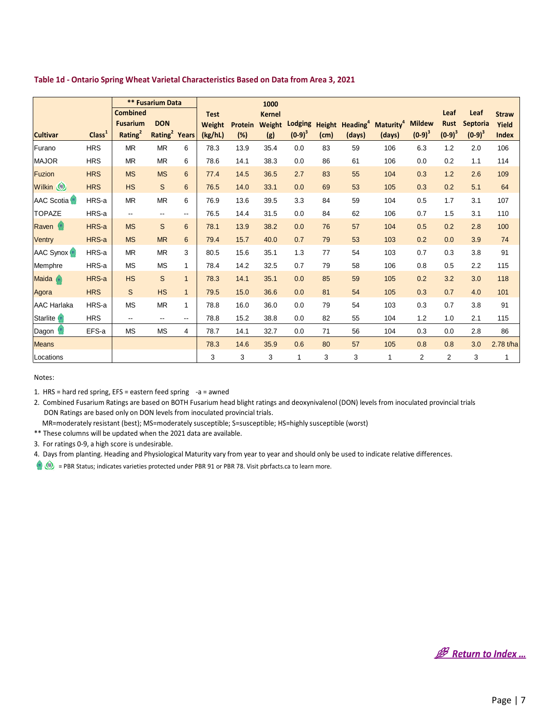<span id="page-7-0"></span>

|  | Table 1d - Ontario Spring Wheat Varietal Characteristics Based on Data from Area 3, 2021 |
|--|------------------------------------------------------------------------------------------|
|--|------------------------------------------------------------------------------------------|

|                            |                    | <b>Combined</b><br><b>Fusarium</b> | <b>** Fusarium Data</b><br><b>DON</b> |                          | <b>Test</b><br>Weight | <b>Protein</b> | 1000<br><b>Kernel</b><br>Weight |           |      | Lodging Height Heading <sup>4</sup> | Maturity <sup>4</sup> | <b>Mildew</b>  | Leaf<br><b>Rust</b>     | Leaf<br><b>Septoria</b> | <b>Straw</b><br>Yield |
|----------------------------|--------------------|------------------------------------|---------------------------------------|--------------------------|-----------------------|----------------|---------------------------------|-----------|------|-------------------------------------|-----------------------|----------------|-------------------------|-------------------------|-----------------------|
| <b>Cultivar</b>            | Class <sup>1</sup> | Rating <sup>2</sup>                | Rating <sup>2</sup>                   | Years                    | (kg/hL)               | (%)            | (g)                             | $(0-9)^3$ | (cm) | (days)                              | (days)                | $(0-9)^3$      | $(0-9)^3$               | $(0-9)^3$               | <b>Index</b>          |
| Furano                     | <b>HRS</b>         | <b>MR</b>                          | <b>MR</b>                             | 6                        | 78.3                  | 13.9           | 35.4                            | 0.0       | 83   | 59                                  | 106                   | 6.3            | 1.2                     | 2.0                     | 106                   |
| <b>MAJOR</b>               | <b>HRS</b>         | <b>MR</b>                          | <b>MR</b>                             | 6                        | 78.6                  | 14.1           | 38.3                            | 0.0       | 86   | 61                                  | 106                   | 0.0            | 0.2                     | 1.1                     | 114                   |
| <b>Fuzion</b>              | <b>HRS</b>         | <b>MS</b>                          | <b>MS</b>                             | $6\phantom{1}6$          | 77.4                  | 14.5           | 36.5                            | 2.7       | 83   | 55                                  | 104                   | 0.3            | 1.2                     | 2.6                     | 109                   |
| Wilkin (                   | <b>HRS</b>         | <b>HS</b>                          | S                                     | 6                        | 76.5                  | 14.0           | 33.1                            | 0.0       | 69   | 53                                  | 105                   | 0.3            | 0.2                     | 5.1                     | 64                    |
| AAC Scotia <sup>(st)</sup> | HRS-a              | <b>MR</b>                          | <b>MR</b>                             | 6                        | 76.9                  | 13.6           | 39.5                            | 3.3       | 84   | 59                                  | 104                   | 0.5            | 1.7                     | 3.1                     | 107                   |
| <b>TOPAZE</b>              | HRS-a              | --                                 | $\overline{\phantom{a}}$              | --                       | 76.5                  | 14.4           | 31.5                            | 0.0       | 84   | 62                                  | 106                   | 0.7            | 1.5                     | 3.1                     | 110                   |
| Raven <sup>(91</sup> )     | HRS-a              | <b>MS</b>                          | S                                     | 6                        | 78.1                  | 13.9           | 38.2                            | 0.0       | 76   | 57                                  | 104                   | 0.5            | 0.2                     | 2.8                     | 100                   |
| Ventry                     | HRS-a              | <b>MS</b>                          | <b>MR</b>                             | 6                        | 79.4                  | 15.7           | 40.0                            | 0.7       | 79   | 53                                  | 103                   | 0.2            | 0.0                     | 3.9                     | 74                    |
| AAC Synox <sup>(91)</sup>  | HRS-a              | <b>MR</b>                          | <b>MR</b>                             | 3                        | 80.5                  | 15.6           | 35.1                            | 1.3       | 77   | 54                                  | 103                   | 0.7            | 0.3                     | 3.8                     | 91                    |
| Memphre                    | HRS-a              | <b>MS</b>                          | <b>MS</b>                             | 1                        | 78.4                  | 14.2           | 32.5                            | 0.7       | 79   | 58                                  | 106                   | 0.8            | 0.5                     | 2.2                     | 115                   |
| Maida <sup>91</sup>        | HRS-a              | <b>HS</b>                          | S                                     | $\mathbf{1}$             | 78.3                  | 14.1           | 35.1                            | 0.0       | 85   | 59                                  | 105                   | 0.2            | 3.2                     | 3.0                     | 118                   |
| Agora                      | <b>HRS</b>         | S                                  | <b>HS</b>                             | $\mathbf{1}$             | 79.5                  | 15.0           | 36.6                            | 0.0       | 81   | 54                                  | 105                   | 0.3            | 0.7                     | 4.0                     | 101                   |
| <b>AAC Harlaka</b>         | HRS-a              | <b>MS</b>                          | <b>MR</b>                             | 1                        | 78.8                  | 16.0           | 36.0                            | 0.0       | 79   | 54                                  | 103                   | 0.3            | 0.7                     | 3.8                     | 91                    |
| Starlite (*)               | <b>HRS</b>         | --                                 | $\overline{\phantom{a}}$              | $\overline{\phantom{a}}$ | 78.8                  | 15.2           | 38.8                            | 0.0       | 82   | 55                                  | 104                   | 1.2            | 1.0                     | 2.1                     | 115                   |
| Dagon <sup>(91)</sup>      | EFS-a              | <b>MS</b>                          | <b>MS</b>                             | 4                        | 78.7                  | 14.1           | 32.7                            | 0.0       | 71   | 56                                  | 104                   | 0.3            | 0.0                     | 2.8                     | 86                    |
| <b>Means</b>               |                    |                                    |                                       |                          | 78.3                  | 14.6           | 35.9                            | 0.6       | 80   | 57                                  | 105                   | 0.8            | 0.8                     | 3.0                     | 2.78 t/ha             |
| Locations                  |                    |                                    |                                       |                          | 3                     | 3              | 3                               | 1         | 3    | 3                                   | 1                     | $\overline{c}$ | $\overline{\mathbf{c}}$ | 3                       | 1                     |

Notes:

1. HRS = hard red spring, EFS = eastern feed spring -a = awned

2. Combined Fusarium Ratings are based on BOTH Fusarium head blight ratings and deoxynivalenol (DON) levels from inoculated provincial trials DON Ratings are based only on DON levels from inoculated provincial trials.

MR=moderately resistant (best); MS=moderately susceptible; S=susceptible; HS=highly susceptible (worst)

\*\* These columns will be updated when the 2021 data are available.

3. For ratings 0-9, a high score is undesirable.

4. Days from planting. Heading and Physiological Maturity vary from year to year and should only be used to indicate relative differences.

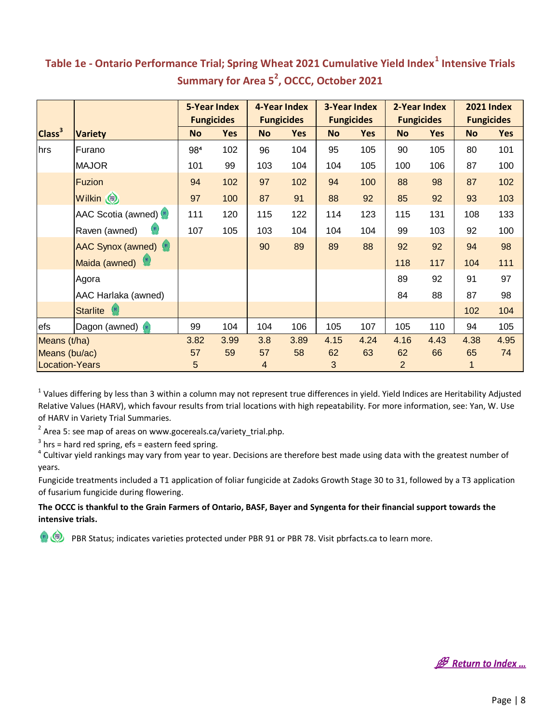|                           |                               |           | <b>5-Year Index</b> |                | 4-Year Index      |           | <b>3-Year Index</b> |                | 2-Year Index      |           | <b>2021 Index</b> |
|---------------------------|-------------------------------|-----------|---------------------|----------------|-------------------|-----------|---------------------|----------------|-------------------|-----------|-------------------|
|                           |                               |           | <b>Fungicides</b>   |                | <b>Fungicides</b> |           | <b>Fungicides</b>   |                | <b>Fungicides</b> |           | <b>Fungicides</b> |
| Class <sup>3</sup>        | <b>Variety</b>                | <b>No</b> | Yes                 | <b>No</b>      | <b>Yes</b>        | <b>No</b> | <b>Yes</b>          | <b>No</b>      | <b>Yes</b>        | <b>No</b> | <b>Yes</b>        |
| hrs                       | Furano                        | 984       | 102                 | 96             | 104               | 95        | 105                 | 90             | 105               | 80        | 101               |
|                           | <b>MAJOR</b>                  |           | 99                  | 103            | 104               | 104       | 105                 | 100            | 106               | 87        | 100               |
| Fuzion                    |                               | 94        | 102                 | 97             | 102               | 94        | 100                 | 88             | 98                | 87        | 102               |
|                           | Wilkin (                      | 97        | 100                 | 87             | 91                | 88        | 92                  | 85             | 92                | 93        | 103               |
|                           | AAC Scotia (awned) (91)       | 111       | 120                 | 115            | 122               | 114       | 123                 | 115            | 131               | 108       | 133               |
|                           | Raven (awned)                 |           | 105                 | 103            | 104               | 104       | 104                 | 99             | 103               | 92        | 100               |
|                           | <b>AAC Synox (awned)</b> (91) |           |                     | 90             | 89                | 89        | 88                  | 92             | 92                | 94        | 98                |
|                           | Maida (awned)                 |           |                     |                |                   |           |                     | 118            | 117               | 104       | 111               |
|                           | Agora                         |           |                     |                |                   |           |                     | 89             | 92                | 91        | 97                |
|                           | AAC Harlaka (awned)           |           |                     |                |                   |           |                     | 84             | 88                | 87        | 98                |
|                           | Starlite (91)                 |           |                     |                |                   |           |                     |                |                   | 102       | 104               |
| efs<br>Dagon (awned) (91) |                               | 99        | 104                 | 104            | 106               | 105       | 107                 | 105            | 110               | 94        | 105               |
| Means (t/ha)              |                               | 3.82      | 3.99                | 3.8            | 3.89              | 4.15      | 4.24                | 4.16           | 4.43              | 4.38      | 4.95              |
| Means (bu/ac)             |                               | 57        | 59                  | 57             | 58                | 62        | 63                  | 62             | 66                | 65        | 74                |
|                           | <b>Location-Years</b>         |           |                     | $\overline{4}$ |                   | 3         |                     | $\overline{2}$ |                   |           |                   |

#### <span id="page-8-0"></span>**Summary for Area 5<sup>2</sup> , OCCC, October 2021 Table 1e - Ontario Performance Trial; Spring Wheat 2021 Cumulative Yield Index<sup>1</sup> Intensive Trials**

 $^1$  Values differing by less than 3 within a column may not represent true differences in yield. Yield Indices are Heritability Adjusted Relative Values (HARV), which favour results from trial locations with high repeatability. For more information, see: Yan, W. Use of HARV in Variety Trial Summaries.

 $^{2}$  Area 5: see map of areas on www.gocereals.ca/variety\_trial.php.

 $3$  hrs = hard red spring, efs = eastern feed spring.

4 Cultivar yield rankings may vary from year to year. Decisions are therefore best made using data with the greatest number of years.

Fungicide treatments included a T1 application of foliar fungicide at Zadoks Growth Stage 30 to 31, followed by a T3 application of fusarium fungicide during flowering.

#### **The OCCC is thankful to the Grain Farmers of Ontario, BASF, Bayer and Syngenta for their financial support towards the intensive trials.**

**B** Return to Index ...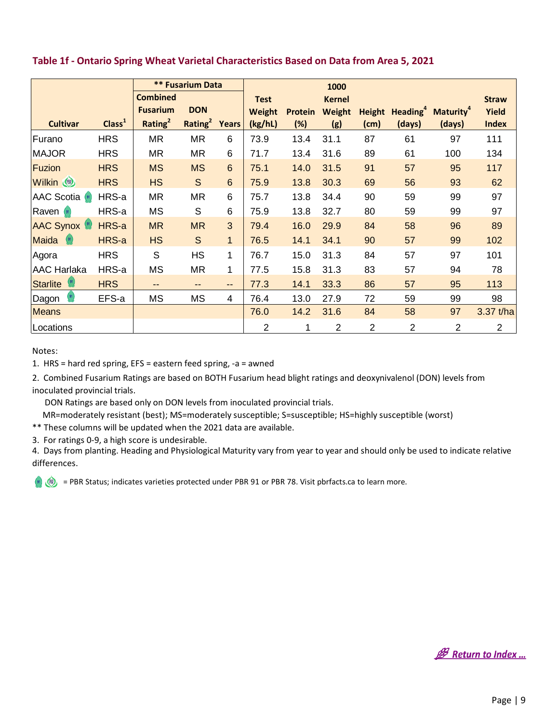|                        |                    |                     | <b>** Fusarium Data</b>   |                   |                |                | 1000           |                |                             |                              |                |
|------------------------|--------------------|---------------------|---------------------------|-------------------|----------------|----------------|----------------|----------------|-----------------------------|------------------------------|----------------|
|                        |                    | <b>Combined</b>     |                           |                   | <b>Test</b>    |                | <b>Kernel</b>  |                |                             |                              | <b>Straw</b>   |
|                        |                    | <b>Fusarium</b>     | <b>DON</b>                |                   | Weight         | <b>Protein</b> | Weight         |                | Height Heading <sup>4</sup> | <b>Maturity</b> <sup>4</sup> | Yield          |
| <b>Cultivar</b>        | Class <sup>1</sup> | Rating <sup>2</sup> | Rating <sup>2</sup> Years |                   | (kg/hL)        | (%)            | (g)            | (cm)           | (days)                      | (days)                       | <b>Index</b>   |
| Furano                 | <b>HRS</b>         | MR                  | <b>MR</b>                 | 6                 | 73.9           | 13.4           | 31.1           | 87             | 61                          | 97                           | 111            |
| <b>MAJOR</b>           | <b>HRS</b>         | MR                  | MR                        | 6                 | 71.7           | 13.4           | 31.6           | 89             | 61                          | 100                          | 134            |
| Fuzion                 | <b>HRS</b>         | <b>MS</b>           | <b>MS</b>                 | 6                 | 75.1           | 14.0           | 31.5           | 91             | 57                          | 95                           | 117            |
| <b>Wilkin</b>          | <b>HRS</b>         | <b>HS</b>           | S                         | $6\phantom{1}$    | 75.9           | 13.8           | 30.3           | 69             | 56                          | 93                           | 62             |
| <b>AAC Scotia</b> (91) | HRS-a              | MR                  | <b>MR</b>                 | 6                 | 75.7           | 13.8           | 34.4           | 90             | 59                          | 99                           | 97             |
| Raven (91)             | HRS-a              | MS                  | S                         | 6                 | 75.9           | 13.8           | 32.7           | 80             | 59                          | 99                           | 97             |
| <b>AAC Synox (91)</b>  | HRS-a              | <b>MR</b>           | <b>MR</b>                 | $\overline{3}$    | 79.4           | 16.0           | 29.9           | 84             | 58                          | 96                           | 89             |
| Maida (91)             | HRS-a              | <b>HS</b>           | S                         | $\mathbf{1}$      | 76.5           | 14.1           | 34.1           | 90             | 57                          | 99                           | 102            |
| Agora                  | <b>HRS</b>         | S                   | <b>HS</b>                 | 1                 | 76.7           | 15.0           | 31.3           | 84             | 57                          | 97                           | 101            |
| <b>AAC Harlaka</b>     | HRS-a              | <b>MS</b>           | <b>MR</b>                 | 1                 | 77.5           | 15.8           | 31.3           | 83             | 57                          | 94                           | 78             |
| <b>Starlite</b>        | <b>HRS</b>         | --                  | $-$                       | $\qquad \qquad -$ | 77.3           | 14.1           | 33.3           | 86             | 57                          | 95                           | 113            |
| Dagon                  | EFS-a              | MS                  | MS                        | $\overline{4}$    | 76.4           | 13.0           | 27.9           | 72             | 59                          | 99                           | 98             |
| <b>Means</b>           |                    |                     |                           |                   | 76.0           | 14.2           | 31.6           | 84             | 58                          | 97                           | 3.37 t/ha      |
| Locations              |                    |                     |                           |                   | $\overline{2}$ | 1              | $\overline{2}$ | $\overline{2}$ | $\overline{2}$              | $\overline{2}$               | $\overline{2}$ |

#### <span id="page-9-0"></span>**Table 1f - Ontario Spring Wheat Varietal Characteristics Based on Data from Area 5, 2021**

#### Notes:

1. HRS = hard red spring, EFS = eastern feed spring, -a = awned

2. Combined Fusarium Ratings are based on BOTH Fusarium head blight ratings and deoxynivalenol (DON) levels from inoculated provincial trials.

DON Ratings are based only on DON levels from inoculated provincial trials.

MR=moderately resistant (best); MS=moderately susceptible; S=susceptible; HS=highly susceptible (worst)

\*\* These columns will be updated when the 2021 data are available.

3. For ratings 0-9, a high score is undesirable.

4. Days from planting. Heading and Physiological Maturity vary from year to year and should only be used to indicate relative differences.



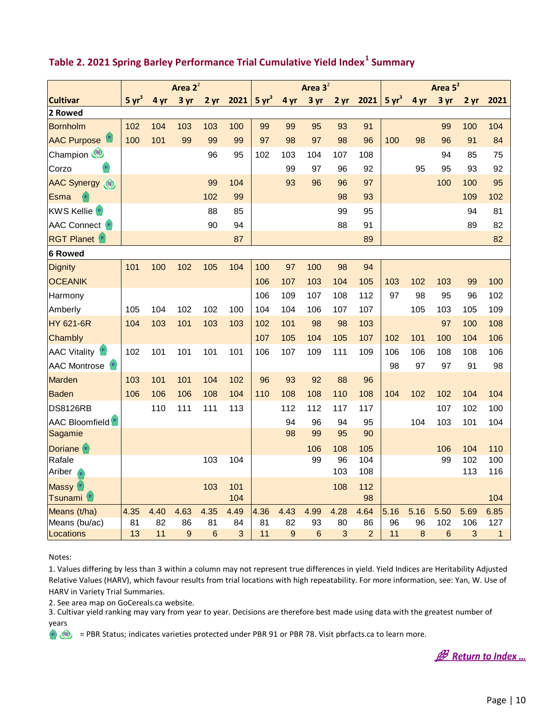|                                                 | Area $2^2$        |      |             |                 |            |                   |      | Area $3^2$      |      |                | Area $5^2$        |      |      |      |              |
|-------------------------------------------------|-------------------|------|-------------|-----------------|------------|-------------------|------|-----------------|------|----------------|-------------------|------|------|------|--------------|
| <b>Cultivar</b>                                 | 5 yr <sup>3</sup> | 4 yr | 3 yr        | 2 <sub>yr</sub> | 2021       | 5 yr <sup>3</sup> | 4 yr | 3 yr            | 2 yr | 2021           | 5 yr <sup>3</sup> | 4 yr | 3 yr | 2 yr | 2021         |
| 2 Rowed                                         |                   |      |             |                 |            |                   |      |                 |      |                |                   |      |      |      |              |
| Bornholm                                        | 102               | 104  | 103         | 103             | 100        | 99                | 99   | 95              | 93   | 91             |                   |      | 99   | 100  | 104          |
| <b>AAC Purpose</b>                              | 100               | 101  | 99          | 99              | 99         | 97                | 98   | 97              | 98   | 96             | 100               | 98   | 96   | 91   | 84           |
| Champion                                        |                   |      |             | 96              | 95         | 102               | 103  | 104             | 107  | 108            |                   |      | 94   | 85   | 75           |
| 91<br>Corzo                                     |                   |      |             |                 |            |                   | 99   | 97              | 96   | 92             |                   | 95   | 95   | 93   | 92           |
| AAC Synergy                                     |                   |      |             | 99              | 104        |                   | 93   | 96              | 96   | 97             |                   |      | 100  | 100  | 95           |
| Esma                                            |                   |      |             | 102             | 99         |                   |      |                 | 98   | 93             |                   |      |      | 109  | 102          |
| KWS Kellie <sup>(91)</sup>                      |                   |      |             | 88              | 85         |                   |      |                 | 99   | 95             |                   |      |      | 94   | 81           |
| <b>AAC Connect</b> (91)                         |                   |      |             | 90              | 94         |                   |      |                 | 88   | 91             |                   |      |      | 89   | 82           |
| <b>RGT Planet</b> (91)                          |                   |      |             |                 | 87         |                   |      |                 |      | 89             |                   |      |      |      | 82           |
| <b>6 Rowed</b>                                  |                   |      |             |                 |            |                   |      |                 |      |                |                   |      |      |      |              |
| <b>Dignity</b>                                  | 101               | 100  | 102         | 105             | 104        | 100               | 97   | 100             | 98   | 94             |                   |      |      |      |              |
| <b>OCEANIK</b>                                  |                   |      |             |                 |            | 106               | 107  | 103             | 104  | 105            | 103               | 102  | 103  | 99   | 100          |
| Harmony                                         |                   |      |             |                 |            | 106               | 109  | 107             | 108  | 112            | 97                | 98   | 95   | 96   | 102          |
| Amberly                                         | 105               | 104  | 102         | 102             | 100        | 104               | 104  | 106             | 107  | 107            |                   | 105  | 103  | 105  | 109          |
| <b>HY 621-6R</b>                                | 104               | 103  | 101         | 103             | 103        | 102               | 101  | 98              | 98   | 103            |                   |      | 97   | 100  | 108          |
| Chambly                                         |                   |      |             |                 |            | 107               | 105  | 104             | 105  | 107            | 102               | 101  | 100  | 104  | 106          |
| AAC Vitality <sup>(91)</sup>                    | 102               | 101  | 101         | 101             | 101        | 106               | 107  | 109             | 111  | 109            | 106               | 106  | 108  | 108  | 106          |
| AAC Montrose (91)                               |                   |      |             |                 |            |                   |      |                 |      |                | 98                | 97   | 97   | 91   | 98           |
| Marden                                          | 103               | 101  | 101         | 104             | 102        | 96                | 93   | 92              | 88   | 96             |                   |      |      |      |              |
| <b>Baden</b>                                    | 106               | 106  | 106         | 108             | 104        | 110               | 108  | 108             | 110  | 108            | 104               | 102  | 102  | 104  | 104          |
| <b>DS8126RB</b>                                 |                   | 110  | 111         | 111             | 113        |                   | 112  | 112             | 117  | 117            |                   |      | 107  | 102  | 100          |
| AAC Bloomfield <sup>(#)</sup>                   |                   |      |             |                 |            |                   | 94   | 96              | 94   | 95             |                   | 104  | 103  | 101  | 104          |
| Sagamie                                         |                   |      |             |                 |            |                   | 98   | 99              | 95   | 90             |                   |      |      |      |              |
| Doriane <sup>(st)</sup>                         |                   |      |             |                 |            |                   |      | 106             | 108  | 105            |                   |      | 106  | 104  | 110          |
| Rafale                                          |                   |      |             | 103             | 104        |                   |      | 99              | 96   | 104            |                   |      | 99   | 102  | 100          |
| Ariber<br>91                                    |                   |      |             |                 |            |                   |      |                 | 103  | 108            |                   |      |      | 113  | 116          |
| Massy <sup>(91)</sup><br>Tsunami <sup>(91</sup> |                   |      |             | 103             | 101<br>104 |                   |      |                 | 108  | 112<br>98      |                   |      |      |      | 104          |
| Means (t/ha)                                    | 4.35              | 4.40 | 4.63        | 4.35            | 4.49       | 4.36              | 4.43 | 4.99            | 4.28 | 4.64           | 5.16              | 5.16 | 5.50 | 5.69 | 6.85         |
| Means (bu/ac)                                   | 81                | 82   | 86          | 81              | 84         | 81                | 82   | 93              | 80   | 86             | 96                | 96   | 102  | 106  | 127          |
| Locations                                       | 13                | 11   | $\mathsf g$ | 6               | 3          | 11                | 9    | $6\phantom{1}6$ | 3    | $\overline{2}$ | 11                | 8    | 6    | 3    | $\mathbf{1}$ |

#### <span id="page-10-0"></span>**Table 2. 2021 Spring Barley Performance Trial Cumulative Yield Index<sup>1</sup> Summary**

Notes:

1. Values differing by less than 3 within a column may not represent true differences in yield. Yield Indices are Heritability Adjusted Relative Values (HARV), which favour results from trial locations with high repeatability. For more information, see: Yan, W. Use of HARV in Variety Trial Summaries.

2. See area map on GoCereals.ca website.

3. Cultivar yield ranking may vary from year to year. Decisions are therefore best made using data with the greatest number of years

**B** Return to Index ...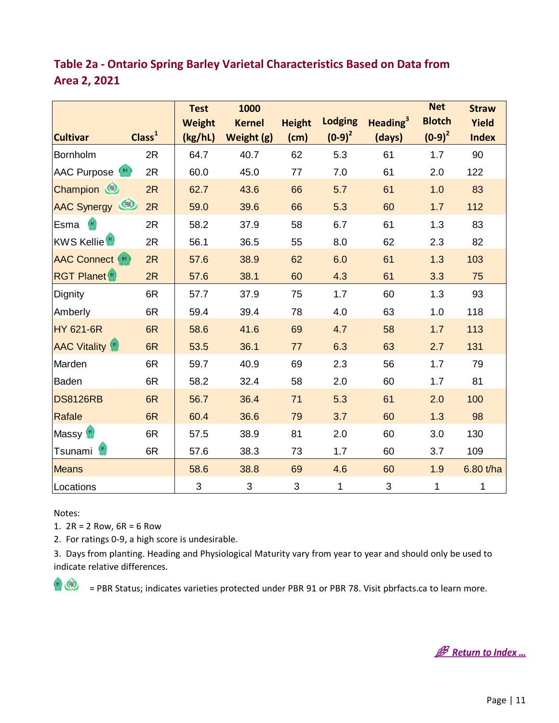| <b>Cultivar</b>            | Class <sup>1</sup> | <b>Test</b><br><b>Weight</b><br>(kg/hL) | 1000<br><b>Kernel</b><br>Weight (g) | <b>Height</b><br>(cm) | <b>Lodging</b><br>$(0-9)^2$ | Heading <sup>3</sup><br>(days) | <b>Net</b><br><b>Blotch</b><br>$(0-9)^2$ | <b>Straw</b><br>Yield<br><b>Index</b> |
|----------------------------|--------------------|-----------------------------------------|-------------------------------------|-----------------------|-----------------------------|--------------------------------|------------------------------------------|---------------------------------------|
| Bornholm                   | 2R                 | 64.7                                    | 40.7                                | 62                    | 5.3                         | 61                             | 1.7                                      | 90                                    |
| AAC Purpose (91)           | 2R                 | 60.0                                    | 45.0                                | 77                    | 7.0                         | 61                             | 2.0                                      | 122                                   |
| Champion (                 | 2R                 | 62.7                                    | 43.6                                | 66                    | 5.7                         | 61                             | 1.0                                      | 83                                    |
| AAC Synergy                | 2R                 | 59.0                                    | 39.6                                | 66                    | 5.3                         | 60                             | 1.7                                      | 112                                   |
| Esma                       | 2R                 | 58.2                                    | 37.9                                | 58                    | 6.7                         | 61                             | 1.3                                      | 83                                    |
| KWS Kellie <sup>(91)</sup> | 2R                 | 56.1                                    | 36.5                                | 55                    | 8.0                         | 62                             | 2.3                                      | 82                                    |
| <b>AAC Connect</b> (91)    | 2R                 | 57.6                                    | 38.9                                | 62                    | 6.0                         | 61                             | 1.3                                      | 103                                   |
| <b>RGT Planet</b> 91       | 2R                 | 57.6                                    | 38.1                                | 60                    | 4.3                         | 61                             | 3.3                                      | 75                                    |
| Dignity                    | 6R                 | 57.7                                    | 37.9                                | 75                    | 1.7                         | 60                             | 1.3                                      | 93                                    |
| Amberly                    | 6R                 | 59.4                                    | 39.4                                | 78                    | 4.0                         | 63                             | 1.0                                      | 118                                   |
| <b>HY 621-6R</b>           | 6R                 | 58.6                                    | 41.6                                | 69                    | 4.7                         | 58                             | 1.7                                      | 113                                   |
| <b>AAC Vitality (91)</b>   | 6R                 | 53.5                                    | 36.1                                | 77                    | 6.3                         | 63                             | 2.7                                      | 131                                   |
| Marden                     | 6R                 | 59.7                                    | 40.9                                | 69                    | 2.3                         | 56                             | 1.7                                      | 79                                    |
| Baden                      | 6R                 | 58.2                                    | 32.4                                | 58                    | 2.0                         | 60                             | 1.7                                      | 81                                    |
| <b>DS8126RB</b>            | 6R                 | 56.7                                    | 36.4                                | 71                    | 5.3                         | 61                             | 2.0                                      | 100                                   |
| Rafale                     | 6R                 | 60.4                                    | 36.6                                | 79                    | 3.7                         | 60                             | 1.3                                      | 98                                    |
| Massy <sup>(91)</sup>      | 6R                 | 57.5                                    | 38.9                                | 81                    | 2.0                         | 60                             | 3.0                                      | 130                                   |
| Tsunami <sup>(91)</sup>    | 6R                 | 57.6                                    | 38.3                                | 73                    | 1.7                         | 60                             | 3.7                                      | 109                                   |
| <b>Means</b>               |                    | 58.6                                    | 38.8                                | 69                    | 4.6                         | 60                             | 1.9                                      | 6.80 t/ha                             |
| Locations                  |                    | $\ensuremath{\mathsf{3}}$               | 3                                   | 3                     | 1                           | $\sqrt{3}$                     | 1                                        | 1                                     |

#### <span id="page-11-0"></span>**Table 2a - Ontario Spring Barley Varietal Characteristics Based on Data from Area 2, 2021**

Notes:

1.  $2R = 2$  Row,  $6R = 6$  Row

2. For ratings 0-9, a high score is undesirable.

3. Days from planting. Heading and Physiological Maturity vary from year to year and should only be used to indicate relative differences.

**B** Return to Index ...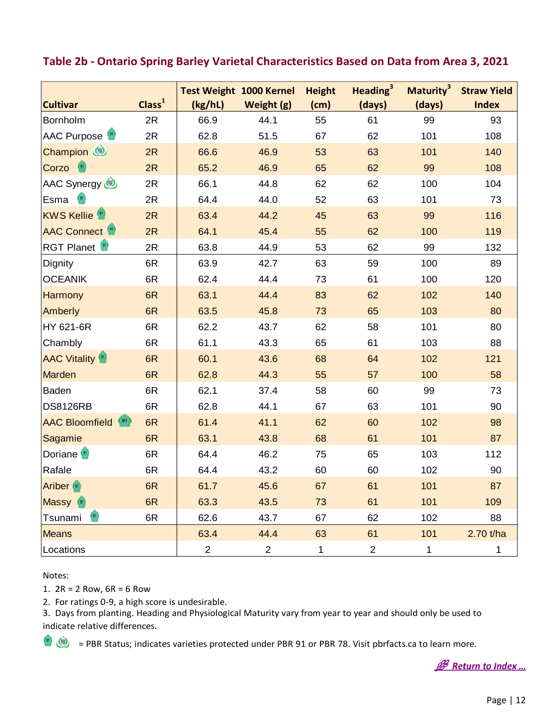<span id="page-12-0"></span>

| Table 2b - Ontario Spring Barley Varietal Characteristics Based on Data from Area 3, 2021 |                    |                                           |                |                       |                                |                                 |                                    |
|-------------------------------------------------------------------------------------------|--------------------|-------------------------------------------|----------------|-----------------------|--------------------------------|---------------------------------|------------------------------------|
| <b>Cultivar</b>                                                                           | Class <sup>1</sup> | <b>Test Weight 1000 Kernel</b><br>(kg/hL) | Weight (g)     | <b>Height</b><br>(cm) | Heading <sup>3</sup><br>(days) | Maturity <sup>3</sup><br>(days) | <b>Straw Yield</b><br><b>Index</b> |
| Bornholm                                                                                  | 2R                 | 66.9                                      | 44.1           | 55                    | 61                             | 99                              | 93                                 |
| AAC Purpose (91)                                                                          | 2R                 | 62.8                                      | 51.5           | 67                    | 62                             | 101                             | 108                                |
| Champion (                                                                                | 2R                 | 66.6                                      | 46.9           | 53                    | 63                             | 101                             | 140                                |
| Corzo                                                                                     | 2R                 | 65.2                                      | 46.9           | 65                    | 62                             | 99                              | 108                                |
| AAC Synergy                                                                               | 2R                 | 66.1                                      | 44.8           | 62                    | 62                             | 100                             | 104                                |
| (91)<br>Esma                                                                              | 2R                 | 64.4                                      | 44.0           | 52                    | 63                             | 101                             | 73                                 |
| <b>KWS Kellie</b> (91)                                                                    | 2R                 | 63.4                                      | 44.2           | 45                    | 63                             | 99                              | 116                                |
| <b>AAC Connect</b> (91)                                                                   | 2R                 | 64.1                                      | 45.4           | 55                    | 62                             | 100                             | 119                                |
| RGT Planet <sup>(91)</sup>                                                                | 2R                 | 63.8                                      | 44.9           | 53                    | 62                             | 99                              | 132                                |
| Dignity                                                                                   | 6R                 | 63.9                                      | 42.7           | 63                    | 59                             | 100                             | 89                                 |
| <b>OCEANIK</b>                                                                            | 6R                 | 62.4                                      | 44.4           | 73                    | 61                             | 100                             | 120                                |
| Harmony                                                                                   | 6R                 | 63.1                                      | 44.4           | 83                    | 62                             | 102                             | 140                                |
| Amberly                                                                                   | 6R                 | 63.5                                      | 45.8           | 73                    | 65                             | 103                             | 80                                 |
| HY 621-6R                                                                                 | 6R                 | 62.2                                      | 43.7           | 62                    | 58                             | 101                             | 80                                 |
| Chambly                                                                                   | 6R                 | 61.1                                      | 43.3           | 65                    | 61                             | 103                             | 88                                 |
| <b>AAC Vitality (91)</b>                                                                  | 6R                 | 60.1                                      | 43.6           | 68                    | 64                             | 102                             | 121                                |
| Marden                                                                                    | 6R                 | 62.8                                      | 44.3           | 55                    | 57                             | 100                             | 58                                 |
| Baden                                                                                     | 6R                 | 62.1                                      | 37.4           | 58                    | 60                             | 99                              | 73                                 |
| <b>DS8126RB</b>                                                                           | 6R                 | 62.8                                      | 44.1           | 67                    | 63                             | 101                             | 90                                 |
| <b>AAC Bloomfield</b> (91)                                                                | 6R                 | 61.4                                      | 41.1           | 62                    | 60                             | 102                             | 98                                 |
| Sagamie                                                                                   | 6R                 | 63.1                                      | 43.8           | 68                    | 61                             | 101                             | 87                                 |
| Doriane <sup>(91)</sup>                                                                   | 6R                 | 64.4                                      | 46.2           | 75                    | 65                             | 103                             | 112                                |
| Rafale                                                                                    | 6R                 | 64.4                                      | 43.2           | 60                    | 60                             | 102                             | 90                                 |
| <b>Ariber</b> (91)                                                                        | 6R                 | 61.7                                      | 45.6           | 67                    | 61                             | 101                             | 87                                 |
| Massy (91)                                                                                | 6R                 | 63.3                                      | 43.5           | 73                    | 61                             | 101                             | 109                                |
| (91)<br>Tsunami                                                                           | 6R                 | 62.6                                      | 43.7           | 67                    | 62                             | 102                             | 88                                 |
| <b>Means</b>                                                                              |                    | 63.4                                      | 44.4           | 63                    | 61                             | 101                             | 2.70 t/ha                          |
| Locations                                                                                 |                    | $\overline{c}$                            | $\overline{c}$ | $\mathbf{1}$          | $\overline{c}$                 | 1                               | $\mathbf{1}$                       |

Notes:

1.  $2R = 2$  Row,  $6R = 6$  Row

2. For ratings 0-9, a high score is undesirable.

3. Days from planting. Heading and Physiological Maturity vary from year to year and should only be used to indicate relative differences.

**B** Return to Index ...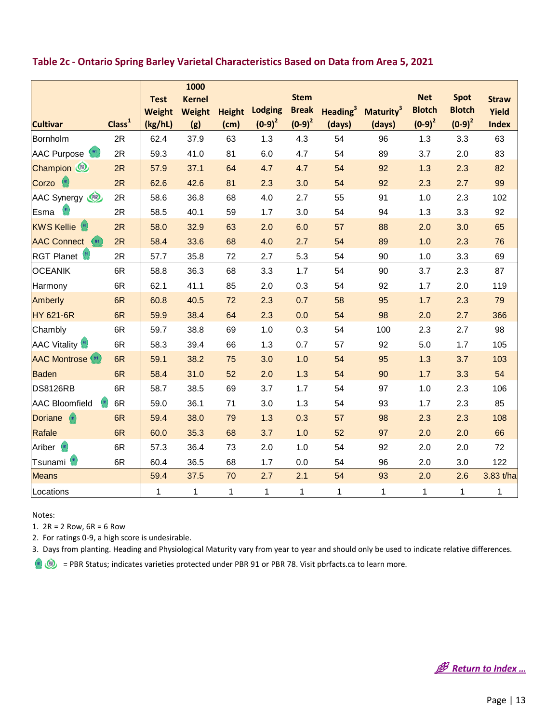|                                         |                    |               | 1000          |               |                |              |              |                                            |               |               |              |
|-----------------------------------------|--------------------|---------------|---------------|---------------|----------------|--------------|--------------|--------------------------------------------|---------------|---------------|--------------|
|                                         |                    | <b>Test</b>   | <b>Kernel</b> |               |                | <b>Stem</b>  |              |                                            | <b>Net</b>    | <b>Spot</b>   | <b>Straw</b> |
|                                         |                    | <b>Weight</b> | <b>Weight</b> | <b>Height</b> | <b>Lodging</b> | <b>Break</b> |              | Heading <sup>3</sup> Maturity <sup>3</sup> | <b>Blotch</b> | <b>Blotch</b> | Yield        |
| <b>Cultivar</b>                         | Class <sup>1</sup> | (kg/hL)       | (g)           | (cm)          | $(0-9)^2$      | $(0-9)^2$    | (days)       | (days)                                     | $(0-9)^2$     | $(0-9)^2$     | <b>Index</b> |
| Bornholm                                | 2R                 | 62.4          | 37.9          | 63            | 1.3            | 4.3          | 54           | 96                                         | 1.3           | 3.3           | 63           |
| (91)<br>AAC Purpose                     | 2R                 | 59.3          | 41.0          | 81            | 6.0            | 4.7          | 54           | 89                                         | 3.7           | 2.0           | 83           |
| Champion                                | 2R                 | 57.9          | 37.1          | 64            | 4.7            | 4.7          | 54           | 92                                         | 1.3           | 2.3           | 82           |
| (91)<br>Corzo                           | 2R                 | 62.6          | 42.6          | 81            | 2.3            | 3.0          | 54           | 92                                         | 2.3           | 2.7           | 99           |
| AAC Synergy                             | 2R                 | 58.6          | 36.8          | 68            | 4.0            | 2.7          | 55           | 91                                         | 1.0           | 2.3           | 102          |
| $\left( \frac{91}{2} \right)$<br>Esma   | 2R                 | 58.5          | 40.1          | 59            | 1.7            | 3.0          | 54           | 94                                         | 1.3           | 3.3           | 92           |
| <b>KWS Kellie</b> (91)                  | 2R                 | 58.0          | 32.9          | 63            | 2.0            | 6.0          | 57           | 88                                         | 2.0           | 3.0           | 65           |
| <b>AAC Connect</b><br>$\left(91\right)$ | 2R                 | 58.4          | 33.6          | 68            | 4.0            | 2.7          | 54           | 89                                         | 1.0           | 2.3           | 76           |
| RGT Planet (91)                         | 2R                 | 57.7          | 35.8          | 72            | 2.7            | 5.3          | 54           | 90                                         | 1.0           | 3.3           | 69           |
| <b>OCEANIK</b>                          | 6R                 | 58.8          | 36.3          | 68            | 3.3            | 1.7          | 54           | 90                                         | 3.7           | 2.3           | 87           |
| Harmony                                 | 6R                 | 62.1          | 41.1          | 85            | 2.0            | 0.3          | 54           | 92                                         | 1.7           | 2.0           | 119          |
| Amberly                                 | 6R                 | 60.8          | 40.5          | 72            | 2.3            | 0.7          | 58           | 95                                         | 1.7           | 2.3           | 79           |
| <b>HY 621-6R</b>                        | 6R                 | 59.9          | 38.4          | 64            | 2.3            | 0.0          | 54           | 98                                         | 2.0           | 2.7           | 366          |
| Chambly                                 | 6R                 | 59.7          | 38.8          | 69            | 1.0            | 0.3          | 54           | 100                                        | 2.3           | 2.7           | 98           |
| <b>AAC Vitality</b> (91)                | 6R                 | 58.3          | 39.4          | 66            | 1.3            | 0.7          | 57           | 92                                         | 5.0           | 1.7           | 105          |
| <b>AAC Montrose</b>                     | 6R                 | 59.1          | 38.2          | 75            | 3.0            | 1.0          | 54           | 95                                         | 1.3           | 3.7           | 103          |
| <b>Baden</b>                            | 6R                 | 58.4          | 31.0          | 52            | 2.0            | 1.3          | 54           | 90                                         | 1.7           | 3.3           | 54           |
| <b>DS8126RB</b>                         | 6R                 | 58.7          | 38.5          | 69            | 3.7            | 1.7          | 54           | 97                                         | 1.0           | 2.3           | 106          |
| (91)<br><b>AAC Bloomfield</b>           | 6R                 | 59.0          | 36.1          | 71            | 3.0            | 1.3          | 54           | 93                                         | 1.7           | 2.3           | 85           |
| <b>Doriane</b><br>(91)                  | 6R                 | 59.4          | 38.0          | 79            | 1.3            | 0.3          | 57           | 98                                         | 2.3           | 2.3           | 108          |
| Rafale                                  | 6R                 | 60.0          | 35.3          | 68            | 3.7            | 1.0          | 52           | 97                                         | 2.0           | 2.0           | 66           |
| Ariber<br>(91)                          | 6R                 | 57.3          | 36.4          | 73            | 2.0            | 1.0          | 54           | 92                                         | 2.0           | 2.0           | $72\,$       |
| Tsunami <sup>9</sup>                    | 6R                 | 60.4          | 36.5          | 68            | 1.7            | 0.0          | 54           | 96                                         | 2.0           | 3.0           | 122          |
| Means                                   |                    | 59.4          | 37.5          | 70            | 2.7            | 2.1          | 54           | 93                                         | 2.0           | 2.6           | 3.83 t/ha    |
| Locations                               |                    | 1             | 1             | 1             | 1              | 1            | $\mathbf{1}$ | 1                                          | $\mathbf{1}$  | 1             | 1            |

#### <span id="page-13-0"></span>**Table 2c - Ontario Spring Barley Varietal Characteristics Based on Data from Area 5, 2021**

Notes:

1.  $2R = 2$  Row,  $6R = 6$  Row

2. For ratings 0-9, a high score is undesirable.

3. Days from planting. Heading and Physiological Maturity vary from year to year and should only be used to indicate relative differences.

**B** Return to Index ...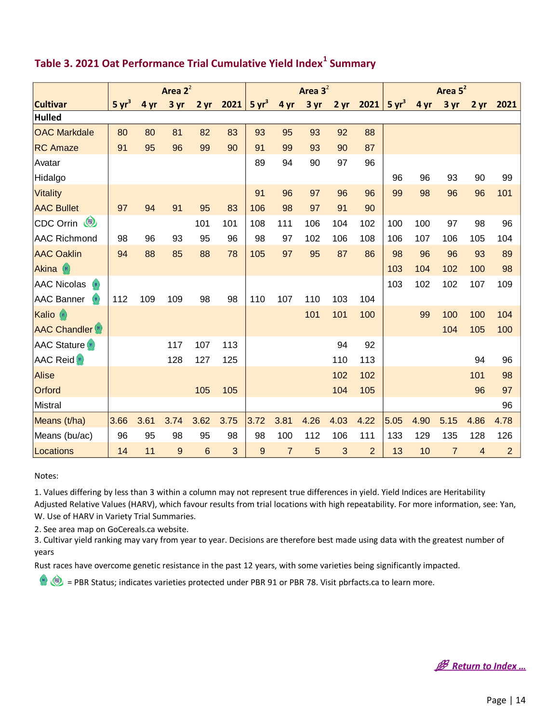| Area $2^2$                        |                   |      |      | Area $3^2$      |      |                   |                | Area 5 <sup>2</sup> |           |                |                   |      |                |                 |                |
|-----------------------------------|-------------------|------|------|-----------------|------|-------------------|----------------|---------------------|-----------|----------------|-------------------|------|----------------|-----------------|----------------|
| <b>Cultivar</b>                   | 5 yr <sup>3</sup> | 4 yr | 3 yr | $2 \, yr$       | 2021 | 5 yr <sup>3</sup> | 4 yr           | 3 yr                | $2 \, yr$ | 2021           | 5 yr <sup>3</sup> | 4 yr | 3 yr           | 2 <sub>yr</sub> | 2021           |
| <b>Hulled</b>                     |                   |      |      |                 |      |                   |                |                     |           |                |                   |      |                |                 |                |
| <b>OAC Markdale</b>               | 80                | 80   | 81   | 82              | 83   | 93                | 95             | 93                  | 92        | 88             |                   |      |                |                 |                |
| <b>RC Amaze</b>                   | 91                | 95   | 96   | 99              | 90   | 91                | 99             | 93                  | 90        | 87             |                   |      |                |                 |                |
| Avatar                            |                   |      |      |                 |      | 89                | 94             | 90                  | 97        | 96             |                   |      |                |                 |                |
| Hidalgo                           |                   |      |      |                 |      |                   |                |                     |           |                | 96                | 96   | 93             | 90              | 99             |
| <b>Vitality</b>                   |                   |      |      |                 |      | 91                | 96             | 97                  | 96        | 96             | 99                | 98   | 96             | 96              | 101            |
| <b>AAC Bullet</b>                 | 97                | 94   | 91   | 95              | 83   | 106               | 98             | 97                  | 91        | 90             |                   |      |                |                 |                |
| CDC Orrin                         |                   |      |      | 101             | 101  | 108               | 111            | 106                 | 104       | 102            | 100               | 100  | 97             | 98              | 96             |
| <b>AAC Richmond</b>               | 98                | 96   | 93   | 95              | 96   | 98                | 97             | 102                 | 106       | 108            | 106               | 107  | 106            | 105             | 104            |
| <b>AAC Oaklin</b>                 | 94                | 88   | 85   | 88              | 78   | 105               | 97             | 95                  | 87        | 86             | 98                | 96   | 96             | 93              | 89             |
| Akina<br>(91)                     |                   |      |      |                 |      |                   |                |                     |           |                | 103               | 104  | 102            | 100             | 98             |
| <b>AAC Nicolas</b><br>(91)        |                   |      |      |                 |      |                   |                |                     |           |                | 103               | 102  | 102            | 107             | 109            |
| <b>AAC Banner</b><br>(91)         | 112               | 109  | 109  | 98              | 98   | 110               | 107            | 110                 | 103       | 104            |                   |      |                |                 |                |
| Kalio (91)                        |                   |      |      |                 |      |                   |                | 101                 | 101       | 100            |                   | 99   | 100            | 100             | 104            |
| <b>AAC Chandler</b> <sup>91</sup> |                   |      |      |                 |      |                   |                |                     |           |                |                   |      | 104            | 105             | 100            |
| <b>AAC Stature</b> (91)           |                   |      | 117  | 107             | 113  |                   |                |                     | 94        | 92             |                   |      |                |                 |                |
| <b>AAC Reid</b> <sup>91</sup>     |                   |      | 128  | 127             | 125  |                   |                |                     | 110       | 113            |                   |      |                | 94              | 96             |
| <b>Alise</b>                      |                   |      |      |                 |      |                   |                |                     | 102       | 102            |                   |      |                | 101             | 98             |
| Orford                            |                   |      |      | 105             | 105  |                   |                |                     | 104       | 105            |                   |      |                | 96              | 97             |
| Mistral                           |                   |      |      |                 |      |                   |                |                     |           |                |                   |      |                |                 | 96             |
| Means (t/ha)                      | 3.66              | 3.61 | 3.74 | 3.62            | 3.75 | 3.72              | 3.81           | 4.26                | 4.03      | 4.22           | 5.05              | 4.90 | 5.15           | 4.86            | 4.78           |
| Means (bu/ac)                     | 96                | 95   | 98   | 95              | 98   | 98                | 100            | 112                 | 106       | 111            | 133               | 129  | 135            | 128             | 126            |
| Locations                         | 14                | 11   | $9$  | $6\phantom{1}6$ | 3    | 9                 | $\overline{7}$ | 5                   | 3         | $\overline{2}$ | 13                | 10   | $\overline{7}$ | $\overline{4}$  | $\overline{2}$ |

#### <span id="page-14-0"></span>**Table 3. 2021 Oat Performance Trial Cumulative Yield Index<sup>1</sup> Summary**

#### Notes:

1. Values differing by less than 3 within a column may not represent true differences in yield. Yield Indices are Heritability Adjusted Relative Values (HARV), which favour results from trial locations with high repeatability. For more information, see: Yan, W. Use of HARV in Variety Trial Summaries.

2. See area map on GoCereals.ca website.

3. Cultivar yield ranking may vary from year to year. Decisions are therefore best made using data with the greatest number of years

Rust races have overcome genetic resistance in the past 12 years, with some varieties being significantly impacted.

**B** Return to Index ...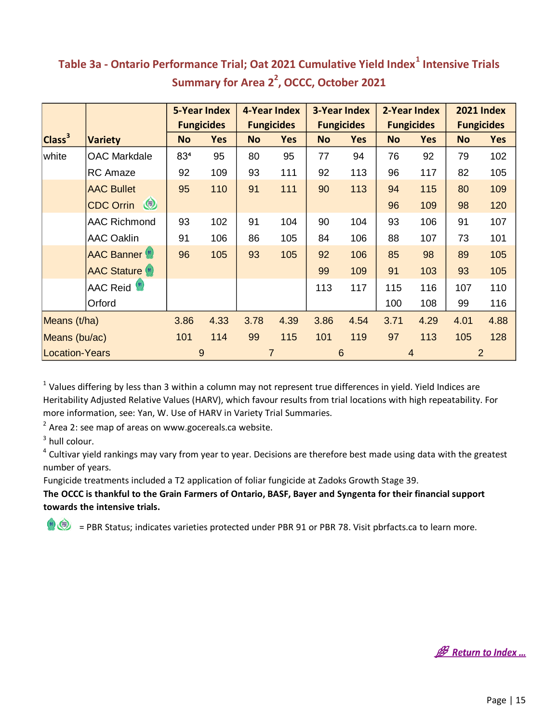|                       |                                    | <b>5-Year Index</b> |                   | 4-Year Index |                   | <b>3-Year Index</b> |                   | 2-Year Index |                   | <b>2021 Index</b> |                   |
|-----------------------|------------------------------------|---------------------|-------------------|--------------|-------------------|---------------------|-------------------|--------------|-------------------|-------------------|-------------------|
|                       |                                    |                     | <b>Fungicides</b> |              | <b>Fungicides</b> |                     | <b>Fungicides</b> |              | <b>Fungicides</b> |                   | <b>Fungicides</b> |
| Class <sup>3</sup>    | <b>Variety</b>                     | <b>No</b>           | <b>Yes</b>        | <b>No</b>    | <b>Yes</b>        | <b>No</b>           | <b>Yes</b>        | <b>No</b>    | <b>Yes</b>        | <b>No</b>         | <b>Yes</b>        |
| white                 | <b>OAC Markdale</b>                | 834                 | 95                | 80           | 95                | 77                  | 94                | 76           | 92                | 79                | 102               |
|                       | <b>RC</b> Amaze                    | 92                  | 109               | 93           | 111               | 92                  | 113               | 96           | 117               | 82                | 105               |
|                       | <b>AAC Bullet</b>                  | 95                  | 110               | 91           | 111               | 90                  | 113               | 94           | 115               | 80                | 109               |
|                       | $\circledcirc$<br><b>CDC Orrin</b> |                     |                   |              |                   |                     |                   | 96           | 109               | 98                | 120               |
|                       | <b>AAC Richmond</b>                | 93                  | 102               | 91           | 104               | 90                  | 104               | 93           | 106               | 91                | 107               |
|                       | <b>AAC Oaklin</b>                  | 91                  | 106               | 86           | 105               | 84                  | 106               | 88           | 107               | 73                | 101               |
|                       | <b>AAC Banner</b>                  | 96                  | 105               | 93           | 105               | 92                  | 106               | 85           | 98                | 89                | 105               |
|                       | <b>AAC Stature</b> (91)            |                     |                   |              |                   | 99                  | 109               | 91           | 103               | 93                | 105               |
|                       | AAC Reid <sup>(91</sup> )          |                     |                   |              |                   | 113                 | 117               | 115          | 116               | 107               | 110               |
|                       | Orford                             |                     |                   |              |                   |                     |                   | 100          | 108               | 99                | 116               |
| Means (t/ha)          |                                    | 3.86                | 4.33              | 3.78         | 4.39              | 3.86                | 4.54              | 3.71         | 4.29              | 4.01              | 4.88              |
| Means (bu/ac)         |                                    | 101                 | 114               | 99           | 115               | 101                 | 119               | 97           | 113               | 105               | 128               |
| <b>Location-Years</b> |                                    |                     | 9                 |              | 7                 |                     | 6                 |              | $\overline{4}$    |                   | $\overline{2}$    |

#### <span id="page-15-0"></span>**Table 3a - Ontario Performance Trial; Oat 2021 Cumulative Yield Index<sup>1</sup> Intensive Trials Summary for Area 2<sup>2</sup> , OCCC, October 2021**

 $1$  Values differing by less than 3 within a column may not represent true differences in yield. Yield Indices are Heritability Adjusted Relative Values (HARV), which favour results from trial locations with high repeatability. For more information, see: Yan, W. Use of HARV in Variety Trial Summaries.

 $2$  Area 2: see map of areas on www.gocereals.ca website.

 $3$  hull colour.

<sup>4</sup> Cultivar yield rankings may vary from year to year. Decisions are therefore best made using data with the greatest number of years.

Fungicide treatments included a T2 application of foliar fungicide at Zadoks Growth Stage 39.

**The OCCC is thankful to the Grain Farmers of Ontario, BASF, Bayer and Syngenta for their financial support towards the intensive trials.**

**B** Return to Index ...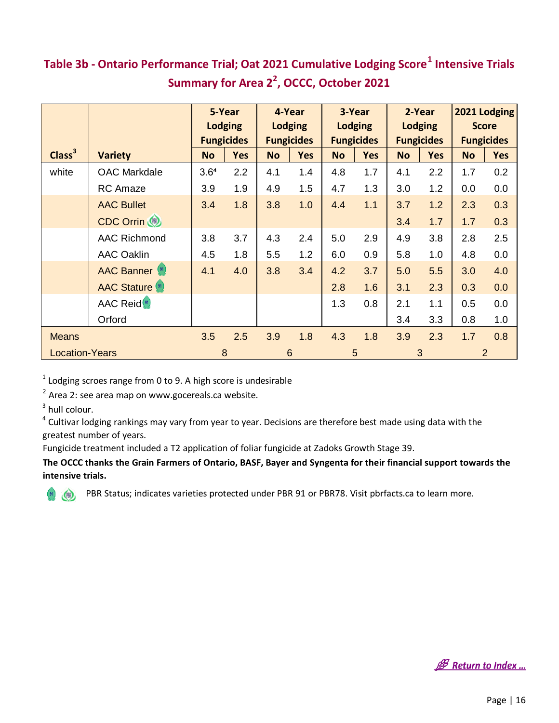## <span id="page-16-0"></span>**Table 3b - Ontario Performance Trial; Oat 2021 Cumulative Lodging Score<sup>1</sup> Intensive Trials Summary for Area 2<sup>2</sup> , OCCC, October 2021**

|                       |                               |           | 5-Year            |           | 4-Year            |           | 3-Year            |                | 2-Year            |              | 2021 Lodging      |
|-----------------------|-------------------------------|-----------|-------------------|-----------|-------------------|-----------|-------------------|----------------|-------------------|--------------|-------------------|
|                       |                               |           | <b>Lodging</b>    |           | <b>Lodging</b>    |           | <b>Lodging</b>    | <b>Lodging</b> |                   | <b>Score</b> |                   |
|                       |                               |           | <b>Fungicides</b> |           | <b>Fungicides</b> |           | <b>Fungicides</b> |                | <b>Fungicides</b> |              | <b>Fungicides</b> |
| Class <sup>3</sup>    | <b>Variety</b>                | <b>No</b> | <b>Yes</b>        | <b>No</b> | <b>Yes</b>        | <b>No</b> | <b>Yes</b>        | <b>No</b>      | <b>Yes</b>        | <b>No</b>    | <b>Yes</b>        |
| white                 | <b>OAC Markdale</b>           | 3.64      | 2.2               | 4.1       | 1.4               | 4.8       | 1.7               | 4.1            | 2.2               | 1.7          | 0.2               |
|                       | <b>RC</b> Amaze               | 3.9       | 1.9               | 4.9       | 1.5               | 4.7       | 1.3               | 3.0            | 1.2               | 0.0          | 0.0               |
|                       | <b>AAC Bullet</b>             | 3.4       | 1.8               | 3.8       | 1.0               | 4.4       | 1.1               | 3.7            | 1.2               | 2.3          | 0.3               |
|                       | CDC Orrin (                   |           |                   |           |                   |           |                   | 3.4            | 1.7               | 1.7          | 0.3               |
|                       | <b>AAC Richmond</b>           | 3.8       | 3.7               | 4.3       | 2.4               | 5.0       | 2.9               | 4.9            | 3.8               | 2.8          | 2.5               |
|                       | <b>AAC Oaklin</b>             | 4.5       | 1.8               | 5.5       | 1.2               | 6.0       | 0.9               | 5.8            | 1.0               | 4.8          | 0.0               |
|                       | <b>AAC Banner</b> (91)        | 4.1       | 4.0               | 3.8       | 3.4               | 4.2       | 3.7               | 5.0            | 5.5               | 3.0          | 4.0               |
|                       | <b>AAC Stature</b> (91)       |           |                   |           |                   | 2.8       | 1.6               | 3.1            | 2.3               | 0.3          | 0.0               |
|                       | <b>AAC Reid</b> <sup>91</sup> |           |                   |           |                   | 1.3       | 0.8               | 2.1            | 1.1               | 0.5          | 0.0               |
|                       | Orford                        |           |                   |           |                   |           |                   | 3.4            | 3.3               | 0.8          | 1.0               |
| <b>Means</b>          |                               | 3.5       | 2.5               | 3.9       | 1.8               | 4.3       | 1.8               | 3.9            | 2.3               | 1.7          | 0.8               |
| <b>Location-Years</b> |                               |           | 8                 |           | $6\phantom{1}6$   |           | 5                 |                | 3                 |              | $\overline{2}$    |

 $1$  Lodging scroes range from 0 to 9. A high score is undesirable

 $2$  Area 2: see area map on www.gocereals.ca website.

 $3$  hull colour.

<sup>4</sup> Cultivar lodging rankings may vary from year to year. Decisions are therefore best made using data with the greatest number of years.

Fungicide treatment included a T2 application of foliar fungicide at Zadoks Growth Stage 39.

**The OCCC thanks the Grain Farmers of Ontario, BASF, Bayer and Syngenta for their financial support towards the intensive trials.**



**B** Return to Index ...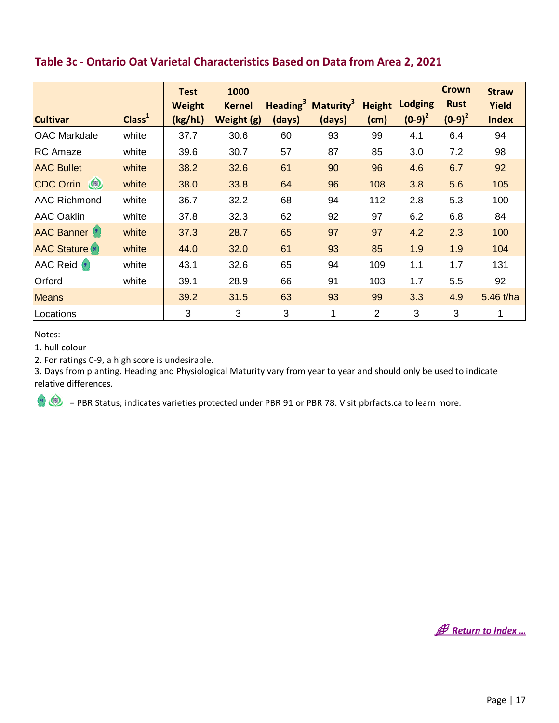| LANIC JC                |                    |                                         | <u>Untano Uat Vanctar Characteristics Dascu Un Data n'Uni Arca 2, 2021</u> |        |                                                      |                       |                             |                                          |                                       |
|-------------------------|--------------------|-----------------------------------------|----------------------------------------------------------------------------|--------|------------------------------------------------------|-----------------------|-----------------------------|------------------------------------------|---------------------------------------|
| <b>Cultivar</b>         | Class <sup>1</sup> | <b>Test</b><br><b>Weight</b><br>(kg/hL) | 1000<br><b>Kernel</b><br>Weight (g)                                        | (days) | Heading <sup>3</sup> Maturity <sup>3</sup><br>(days) | <b>Height</b><br>(cm) | <b>Lodging</b><br>$(0-9)^2$ | <b>Crown</b><br><b>Rust</b><br>$(0-9)^2$ | <b>Straw</b><br>Yield<br><b>Index</b> |
| <b>OAC Markdale</b>     | white              | 37.7                                    | 30.6                                                                       | 60     | 93                                                   | 99                    | 4.1                         | 6.4                                      | 94                                    |
| <b>RC Amaze</b>         | white              | 39.6                                    | 30.7                                                                       | 57     | 87                                                   | 85                    | 3.0                         | 7.2                                      | 98                                    |
| <b>AAC Bullet</b>       | white              | 38.2                                    | 32.6                                                                       | 61     | 90                                                   | 96                    | 4.6                         | 6.7                                      | 92                                    |
| CDC Orrin               | white              | 38.0                                    | 33.8                                                                       | 64     | 96                                                   | 108                   | 3.8                         | 5.6                                      | 105                                   |
| <b>AAC Richmond</b>     | white              | 36.7                                    | 32.2                                                                       | 68     | 94                                                   | 112                   | 2.8                         | 5.3                                      | 100                                   |
| <b>AAC Oaklin</b>       | white              | 37.8                                    | 32.3                                                                       | 62     | 92                                                   | 97                    | 6.2                         | 6.8                                      | 84                                    |
| <b>AAC Banner</b> (91)  | white              | 37.3                                    | 28.7                                                                       | 65     | 97                                                   | 97                    | 4.2                         | 2.3                                      | 100                                   |
| <b>AAC Stature</b> (91) | white              | 44.0                                    | 32.0                                                                       | 61     | 93                                                   | 85                    | 1.9                         | 1.9                                      | 104                                   |
| <b>AAC Reid</b> (91)    | white              | 43.1                                    | 32.6                                                                       | 65     | 94                                                   | 109                   | 1.1                         | 1.7                                      | 131                                   |
| Orford                  | white              | 39.1                                    | 28.9                                                                       | 66     | 91                                                   | 103                   | 1.7                         | 5.5                                      | 92                                    |
| <b>Means</b>            |                    | 39.2                                    | 31.5                                                                       | 63     | 93                                                   | 99                    | 3.3                         | 4.9                                      | 5.46 t/ha                             |
| Locations               |                    | 3                                       | 3                                                                          | 3      | 1                                                    | $\overline{2}$        | 3                           | 3                                        | 1                                     |

#### <span id="page-17-0"></span>**Table 3c - Ontario Oat Varietal Characteristics Based on Data from Area 2, 2021**

Notes:

1. hull colour

2. For ratings 0-9, a high score is undesirable.

3. Days from planting. Heading and Physiological Maturity vary from year to year and should only be used to indicate relative differences.

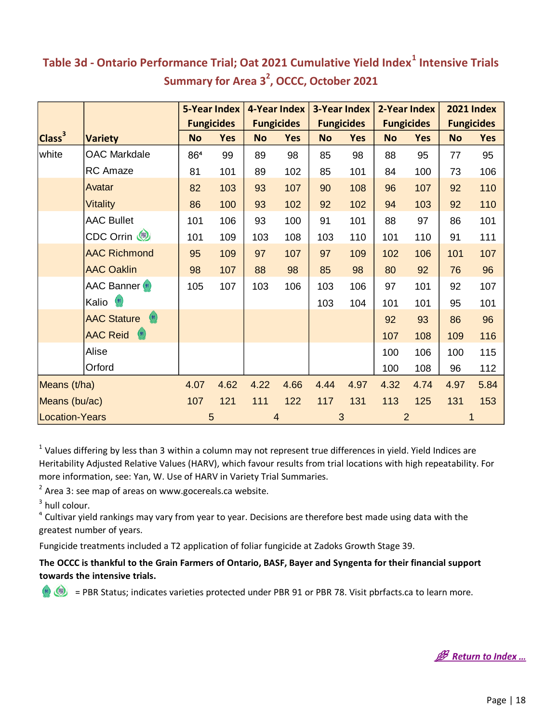|                       |                                                     | <b>5-Year Index</b> |                   | 4-Year Index |                   |           | <b>3-Year Index</b> |           | 2-Year Index      |           | <b>2021 Index</b> |
|-----------------------|-----------------------------------------------------|---------------------|-------------------|--------------|-------------------|-----------|---------------------|-----------|-------------------|-----------|-------------------|
|                       |                                                     |                     | <b>Fungicides</b> |              | <b>Fungicides</b> |           | <b>Fungicides</b>   |           | <b>Fungicides</b> |           | <b>Fungicides</b> |
| Class <sup>3</sup>    | <b>Variety</b>                                      | <b>No</b>           | <b>Yes</b>        | <b>No</b>    | <b>Yes</b>        | <b>No</b> | <b>Yes</b>          | <b>No</b> | <b>Yes</b>        | <b>No</b> | <b>Yes</b>        |
| white                 | <b>OAC Markdale</b>                                 | 864                 | 99                | 89           | 98                | 85        | 98                  | 88        | 95                | 77        | 95                |
|                       | <b>RC</b> Amaze                                     | 81                  | 101               | 89           | 102               | 85        | 101                 | 84        | 100               | 73        | 106               |
|                       | Avatar                                              | 82                  | 103               | 93           | 107               | 90        | 108                 | 96        | 107               | 92        | 110               |
|                       | <b>Vitality</b>                                     | 86                  | 100               | 93           | 102               | 92        | 102                 | 94        | 103               | 92        | 110               |
|                       | <b>AAC Bullet</b>                                   | 101                 | 106               | 93           | 100               | 91        | 101                 | 88        | 97                | 86        | 101               |
|                       | CDC Orrin                                           | 101                 | 109               | 103          | 108               | 103       | 110                 | 101       | 110               | 91        | 111               |
|                       | <b>AAC Richmond</b>                                 | 95                  | 109               | 97           | 107               | 97        | 109                 | 102       | 106               | 101       | 107               |
|                       | <b>AAC Oaklin</b>                                   | 98                  | 107               | 88           | 98                | 85        | 98                  | 80        | 92                | 76        | 96                |
|                       | <b>AAC Banner</b>                                   | 105                 | 107               | 103          | 106               | 103       | 106                 | 97        | 101               | 92        | 107               |
|                       | Kalio <sup>(91)</sup>                               |                     |                   |              |                   | 103       | 104                 | 101       | 101               | 95        | 101               |
|                       | $\left( \frac{91}{2} \right)$<br><b>AAC Stature</b> |                     |                   |              |                   |           |                     | 92        | 93                | 86        | 96                |
|                       | $\binom{91}{ }$<br><b>AAC Reid</b>                  |                     |                   |              |                   |           |                     | 107       | 108               | 109       | 116               |
|                       | Alise                                               |                     |                   |              |                   |           |                     | 100       | 106               | 100       | 115               |
|                       | Orford                                              |                     |                   |              |                   |           |                     | 100       | 108               | 96        | 112               |
| Means (t/ha)          |                                                     | 4.07                | 4.62              | 4.22         | 4.66              | 4.44      | 4.97                | 4.32      | 4.74              | 4.97      | 5.84              |
| Means (bu/ac)         |                                                     | 107                 | 121               | 111          | 122               | 117       | 131                 | 113       | 125               | 131       | 153               |
| <b>Location-Years</b> |                                                     |                     | 5                 |              | 4                 | 3         |                     |           | $\overline{2}$    |           |                   |

#### <span id="page-18-0"></span>**Table 3d - Ontario Performance Trial; Oat 2021 Cumulative Yield Index<sup>1</sup> Intensive Trials Summary for Area 3<sup>2</sup> , OCCC, October 2021**

 $1$  Values differing by less than 3 within a column may not represent true differences in yield. Yield Indices are Heritability Adjusted Relative Values (HARV), which favour results from trial locations with high repeatability. For more information, see: Yan, W. Use of HARV in Variety Trial Summaries.

 $2$  Area 3: see map of areas on www.gocereals.ca website.

 $3$  hull colour.

<sup>4</sup> Cultivar yield rankings may vary from year to year. Decisions are therefore best made using data with the greatest number of years.

Fungicide treatments included a T2 application of foliar fungicide at Zadoks Growth Stage 39.

**The OCCC is thankful to the Grain Farmers of Ontario, BASF, Bayer and Syngenta for their financial support towards the intensive trials.**

**B** Return to Index ...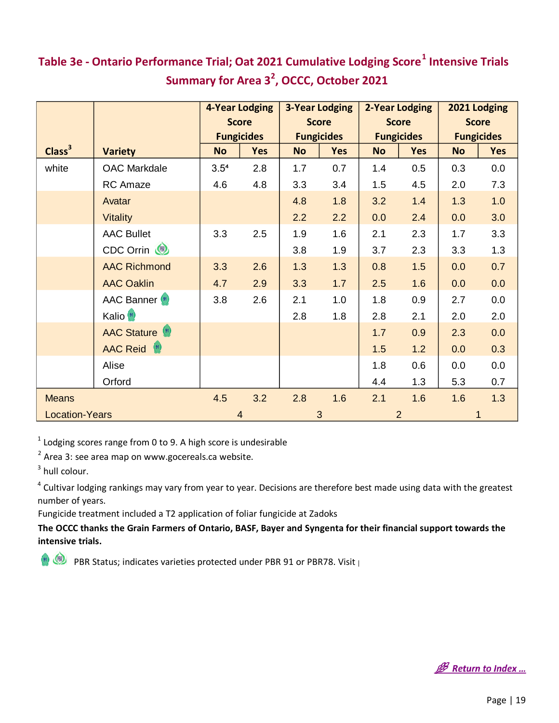|                       |                       |                  | <b>4-Year Lodging</b> |           | <b>3-Year Lodging</b> |              | <b>2-Year Lodging</b> | 2021 Lodging |                   |
|-----------------------|-----------------------|------------------|-----------------------|-----------|-----------------------|--------------|-----------------------|--------------|-------------------|
|                       |                       |                  | <b>Score</b>          |           | <b>Score</b>          | <b>Score</b> |                       | <b>Score</b> |                   |
|                       |                       |                  | <b>Fungicides</b>     |           | <b>Fungicides</b>     |              | <b>Fungicides</b>     |              | <b>Fungicides</b> |
| Class <sup>3</sup>    | <b>Variety</b>        | <b>No</b>        | <b>Yes</b>            | <b>No</b> | <b>Yes</b>            | <b>No</b>    | <b>Yes</b>            | <b>No</b>    | <b>Yes</b>        |
| white                 | <b>OAC Markdale</b>   | 3.5 <sup>4</sup> | 2.8                   | 1.7       | 0.7                   | 1.4          | 0.5                   | 0.3          | 0.0               |
|                       | RC Amaze              | 4.6              | 4.8                   | 3.3       | 3.4                   | 1.5          | 4.5                   | 2.0          | 7.3               |
|                       | Avatar                |                  |                       | 4.8       | 1.8                   | 3.2          | 1.4                   | 1.3          | 1.0               |
|                       | <b>Vitality</b>       |                  |                       | 2.2       | 2.2                   | 0.0          | 2.4                   | 0.0          | 3.0               |
|                       | <b>AAC Bullet</b>     | 3.3              | 2.5                   | 1.9       | 1.6                   | 2.1          | 2.3                   | 1.7          | 3.3               |
|                       | CDC Orrin             |                  |                       | 3.8       | 1.9                   | 3.7          | 2.3                   | 3.3          | 1.3               |
|                       | <b>AAC Richmond</b>   | 3.3              | 2.6                   | 1.3       | 1.3                   | 0.8          | 1.5                   | 0.0          | 0.7               |
|                       | <b>AAC Oaklin</b>     | 4.7              | 2.9                   | 3.3       | 1.7                   | 2.5          | 1.6                   | 0.0          | 0.0               |
|                       | <b>AAC Banner</b>     | 3.8              | 2.6                   | 2.1       | 1.0                   | 1.8          | 0.9                   | 2.7          | 0.0               |
|                       | Kalio <sup>(91)</sup> |                  |                       | 2.8       | 1.8                   | 2.8          | 2.1                   | 2.0          | 2.0               |
|                       | <b>AAC Stature</b>    |                  |                       |           |                       | 1.7          | 0.9                   | 2.3          | 0.0               |
|                       | <b>AAC Reid</b> (91)  |                  |                       |           |                       | 1.5          | 1.2                   | 0.0          | 0.3               |
|                       | Alise                 |                  |                       |           |                       | 1.8          | 0.6                   | 0.0          | 0.0               |
|                       | Orford                |                  |                       |           |                       | 4.4          | 1.3                   | 5.3          | 0.7               |
| <b>Means</b>          |                       | 4.5              | 3.2                   | 2.8       | 1.6                   | 2.1          | 1.6                   | 1.6          | 1.3               |
| <b>Location-Years</b> |                       |                  | $\overline{4}$        |           | 3                     |              | $\overline{2}$        | 1            |                   |

## <span id="page-19-0"></span>**Table 3e - Ontario Performance Trial; Oat 2021 Cumulative Lodging Score<sup>1</sup> Intensive Trials Summary for Area 3<sup>2</sup> , OCCC, October 2021**

 $1$  Lodging scores range from 0 to 9. A high score is undesirable

 $2$  Area 3: see area map on www.gocereals.ca website.

 $3$  hull colour.

<sup>4</sup> Cultivar lodging rankings may vary from year to year. Decisions are therefore best made using data with the greatest number of years.

Fungicide treatment included a T2 application of foliar fungicide at Zadoks

**The OCCC thanks the Grain Farmers of Ontario, BASF, Bayer and Syngenta for their financial support towards the intensive trials.**

PBR Status; indicates varieties protected under PBR 91 or PBR78. Visit

**B** Return to Index ...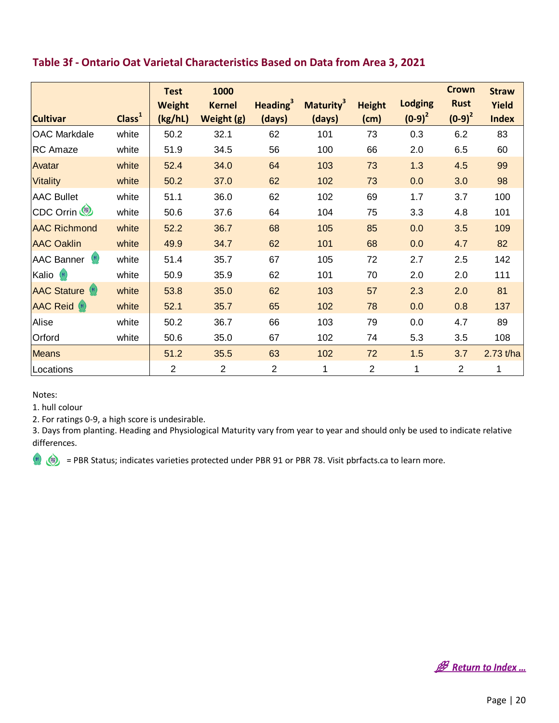<span id="page-20-0"></span>

| Table 3f - Ontario Oat Varietal Characteristics Based on Data from Area 3, 2021 |                    |                                         |                                     |                                       |                                        |                       |                             |                                          |                                       |
|---------------------------------------------------------------------------------|--------------------|-----------------------------------------|-------------------------------------|---------------------------------------|----------------------------------------|-----------------------|-----------------------------|------------------------------------------|---------------------------------------|
| <b>Cultivar</b>                                                                 | Class <sup>1</sup> | <b>Test</b><br><b>Weight</b><br>(kg/hL) | 1000<br><b>Kernel</b><br>Weight (g) | <b>Heading</b> <sup>3</sup><br>(days) | <b>Maturity</b> <sup>3</sup><br>(days) | <b>Height</b><br>(cm) | <b>Lodging</b><br>$(0-9)^2$ | <b>Crown</b><br><b>Rust</b><br>$(0-9)^2$ | <b>Straw</b><br>Yield<br><b>Index</b> |
| <b>OAC Markdale</b>                                                             | white              | 50.2                                    | 32.1                                | 62                                    | 101                                    | 73                    | 0.3                         | 6.2                                      | 83                                    |
| <b>RC</b> Amaze                                                                 | white              | 51.9                                    | 34.5                                | 56                                    | 100                                    | 66                    | 2.0                         | 6.5                                      | 60                                    |
| Avatar                                                                          | white              | 52.4                                    | 34.0                                | 64                                    | 103                                    | 73                    | 1.3                         | 4.5                                      | 99                                    |
| <b>Vitality</b>                                                                 | white              | 50.2                                    | 37.0                                | 62                                    | 102                                    | 73                    | 0.0                         | 3.0                                      | 98                                    |
| <b>AAC Bullet</b>                                                               | white              | 51.1                                    | 36.0                                | 62                                    | 102                                    | 69                    | 1.7                         | 3.7                                      | 100                                   |
| CDC Orrin                                                                       | white              | 50.6                                    | 37.6                                | 64                                    | 104                                    | 75                    | 3.3                         | 4.8                                      | 101                                   |
| <b>AAC Richmond</b>                                                             | white              | 52.2                                    | 36.7                                | 68                                    | 105                                    | 85                    | 0.0                         | 3.5                                      | 109                                   |
| <b>AAC Oaklin</b>                                                               | white              | 49.9                                    | 34.7                                | 62                                    | 101                                    | 68                    | 0.0                         | 4.7                                      | 82                                    |
| <b>AAC Banner</b><br>(91)                                                       | white              | 51.4                                    | 35.7                                | 67                                    | 105                                    | 72                    | 2.7                         | 2.5                                      | 142                                   |
| Kalio <sup>(91)</sup>                                                           | white              | 50.9                                    | 35.9                                | 62                                    | 101                                    | 70                    | 2.0                         | 2.0                                      | 111                                   |
| <b>AAC Stature</b> (91)                                                         | white              | 53.8                                    | 35.0                                | 62                                    | 103                                    | 57                    | 2.3                         | 2.0                                      | 81                                    |
| <b>AAC Reid</b> (91)                                                            | white              | 52.1                                    | 35.7                                | 65                                    | 102                                    | 78                    | 0.0                         | 0.8                                      | 137                                   |
| Alise                                                                           | white              | 50.2                                    | 36.7                                | 66                                    | 103                                    | 79                    | 0.0                         | 4.7                                      | 89                                    |
| Orford                                                                          | white              | 50.6                                    | 35.0                                | 67                                    | 102                                    | 74                    | 5.3                         | 3.5                                      | 108                                   |
| <b>Means</b>                                                                    |                    | 51.2                                    | 35.5                                | 63                                    | 102                                    | 72                    | 1.5                         | 3.7                                      | $2.73$ t/ha                           |
| Locations                                                                       |                    | $\overline{2}$                          | $\overline{2}$                      | $\overline{2}$                        | 1                                      | $\overline{2}$        | 1                           | $\overline{2}$                           | 1                                     |

Notes:

1. hull colour

2. For ratings 0-9, a high score is undesirable.

3. Days from planting. Heading and Physiological Maturity vary from year to year and should only be used to indicate relative differences.

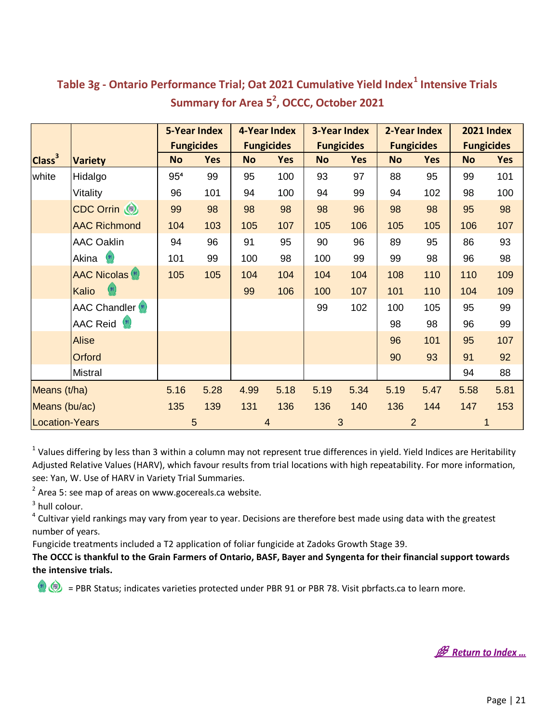|                       |                          | <b>5-Year Index</b> |                   | 4-Year Index |                   | <b>3-Year Index</b> |                   | 2-Year Index |                   | <b>2021 Index</b> |            |
|-----------------------|--------------------------|---------------------|-------------------|--------------|-------------------|---------------------|-------------------|--------------|-------------------|-------------------|------------|
|                       |                          |                     | <b>Fungicides</b> |              | <b>Fungicides</b> |                     | <b>Fungicides</b> |              | <b>Fungicides</b> | <b>Fungicides</b> |            |
| Class <sup>3</sup>    | <b>Variety</b>           | <b>No</b>           | <b>Yes</b>        | <b>No</b>    | <b>Yes</b>        | <b>No</b>           | <b>Yes</b>        | <b>No</b>    | <b>Yes</b>        | <b>No</b>         | <b>Yes</b> |
| white                 | Hidalgo                  | 95 <sup>4</sup>     | 99                | 95           | 100               | 93                  | 97                | 88           | 95                | 99                | 101        |
|                       | Vitality                 | 96                  | 101               | 94           | 100               | 94                  | 99                | 94           | 102               | 98                | 100        |
|                       | CDC Orrin (              | 99                  | 98                | 98           | 98                | 98                  | 96                | 98           | 98                | 95                | 98         |
|                       | <b>AAC Richmond</b>      | 104                 | 103               | 105          | 107               | 105                 | 106               | 105          | 105               | 106               | 107        |
|                       | <b>AAC Oaklin</b>        | 94                  | 96                | 91           | 95                | 90                  | 96                | 89           | 95                | 86                | 93         |
|                       | Akina <sup>(91)</sup>    | 101                 | 99                | 100          | 98                | 100                 | 99                | 99           | 98                | 96                | 98         |
|                       | <b>AAC Nicolas (91)</b>  | 105                 | 105               | 104          | 104               | 104                 | 104               | 108          | 110               | 110               | 109        |
|                       | Kalio                    |                     |                   | 99           | 106               | 100                 | 107               | 101          | 110               | 104               | 109        |
|                       | <b>AAC Chandler</b> (91) |                     |                   |              |                   | 99                  | 102               | 100          | 105               | 95                | 99         |
|                       | AAC Reid <sup>(91)</sup> |                     |                   |              |                   |                     |                   | 98           | 98                | 96                | 99         |
|                       | <b>Alise</b>             |                     |                   |              |                   |                     |                   | 96           | 101               | 95                | 107        |
|                       | Orford                   |                     |                   |              |                   |                     |                   | 90           | 93                | 91                | 92         |
|                       | <b>Mistral</b>           |                     |                   |              |                   |                     |                   |              |                   | 94                | 88         |
| Means (t/ha)          |                          | 5.16                | 5.28              | 4.99         | 5.18              | 5.19                | 5.34              | 5.19         | 5.47              | 5.58              | 5.81       |
| Means (bu/ac)         |                          | 135                 | 139               | 131          | 136               | 136                 | 140               | 136          | 144               | 147               | 153        |
| <b>Location-Years</b> |                          |                     | 5                 |              | 4                 |                     | 3                 |              | $\overline{2}$    |                   |            |

#### <span id="page-21-0"></span>**Table 3g - Ontario Performance Trial; Oat 2021 Cumulative Yield Index<sup>1</sup> Intensive Trials Summary for Area 5<sup>2</sup> , OCCC, October 2021**

 $1$  Values differing by less than 3 within a column may not represent true differences in yield. Yield Indices are Heritability Adjusted Relative Values (HARV), which favour results from trial locations with high repeatability. For more information, see: Yan, W. Use of HARV in Variety Trial Summaries.

 $2$  Area 5: see map of areas on www.gocereals.ca website.

 $3$  hull colour.

<sup>4</sup> Cultivar yield rankings may vary from year to year. Decisions are therefore best made using data with the greatest number of years.

Fungicide treatments included a T2 application of foliar fungicide at Zadoks Growth Stage 39.

**The OCCC is thankful to the Grain Farmers of Ontario, BASF, Bayer and Syngenta for their financial support towards the intensive trials.**

**B** Return to Index ...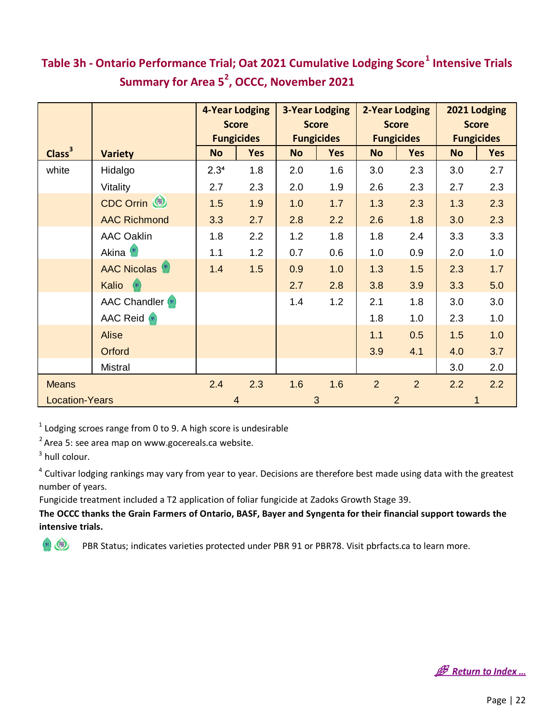## <span id="page-22-0"></span>**Summary for Area 5<sup>2</sup> , OCCC, November 2021 Table 3h - Ontario Performance Trial; Oat 2021 Cumulative Lodging Score<sup>1</sup> Intensive Trials**

|                       |                          | <b>4-Year Lodging</b> |              | <b>3-Year Lodging</b> |                   | <b>2-Year Lodging</b> |                   | 2021 Lodging |                   |
|-----------------------|--------------------------|-----------------------|--------------|-----------------------|-------------------|-----------------------|-------------------|--------------|-------------------|
|                       |                          |                       | <b>Score</b> |                       | <b>Score</b>      | <b>Score</b>          |                   | <b>Score</b> |                   |
|                       |                          | <b>Fungicides</b>     |              |                       | <b>Fungicides</b> |                       | <b>Fungicides</b> |              | <b>Fungicides</b> |
| Class <sup>3</sup>    | <b>Variety</b>           | <b>No</b>             | <b>Yes</b>   | <b>No</b>             | <b>Yes</b>        | <b>No</b>             | <b>Yes</b>        | <b>No</b>    | <b>Yes</b>        |
| white                 | Hidalgo                  | 2.3 <sup>4</sup>      | 1.8          | 2.0                   | 1.6               | 3.0                   | 2.3               | 3.0          | 2.7               |
|                       | Vitality                 | 2.7                   | 2.3          | 2.0                   | 1.9               | 2.6                   | 2.3               | 2.7          | 2.3               |
|                       | CDC Orrin                | 1.5                   | 1.9          | 1.0                   | 1.7               | 1.3                   | 2.3               | 1.3          | 2.3               |
|                       | <b>AAC Richmond</b>      | 3.3                   | 2.7          | 2.8                   | 2.2               | 2.6                   | 1.8               | 3.0          | 2.3               |
|                       | <b>AAC Oaklin</b>        | 1.8                   | 2.2          | 1.2                   | 1.8               | 1.8                   | 2.4               | 3.3          | 3.3               |
|                       | Akina <sup>(91)</sup>    | 1.1                   | 1.2          | 0.7                   | 0.6               | 1.0                   | 0.9               | 2.0          | 1.0               |
|                       | <b>AAC Nicolas</b> (91)  | 1.4                   | 1.5          | 0.9                   | 1.0               | 1.3                   | 1.5               | 2.3          | 1.7               |
|                       | <b>Kalio</b>             |                       |              | 2.7                   | 2.8               | 3.8                   | 3.9               | 3.3          | 5.0               |
|                       | <b>AAC Chandler</b> (91) |                       |              | 1.4                   | 1.2               | 2.1                   | 1.8               | 3.0          | 3.0               |
|                       | <b>AAC Reid</b> (91)     |                       |              |                       |                   | 1.8                   | 1.0               | 2.3          | 1.0               |
|                       | <b>Alise</b>             |                       |              |                       |                   | 1.1                   | 0.5               | 1.5          | 1.0               |
|                       | Orford                   |                       |              |                       |                   | 3.9                   | 4.1               | 4.0          | 3.7               |
|                       | <b>Mistral</b>           |                       |              |                       |                   |                       |                   | 3.0          | 2.0               |
| <b>Means</b>          |                          | 2.4                   | 2.3          | 1.6                   | 1.6               | $\overline{2}$        | $\overline{2}$    | 2.2          | 2.2               |
| <b>Location-Years</b> |                          | $\overline{4}$        |              | 3                     |                   |                       | $\overline{2}$    | $\mathbf{1}$ |                   |

 $1$  Lodging scroes range from 0 to 9. A high score is undesirable <sup>1</sup> Lodging scroes range from 0 to 9. A high score is uno<br><sup>2</sup> Area 5: see area map on www.gocereals.ca website.

 $3$  hull colour.

<sup>4</sup> Cultivar lodging rankings may vary from year to year. Decisions are therefore best made using data with the greatest number of years.

Fungicide treatment included a T2 application of foliar fungicide at Zadoks Growth Stage 39.

**The OCCC thanks the Grain Farmers of Ontario, BASF, Bayer and Syngenta for their financial support towards the intensive trials.**

**B** Return to Index ...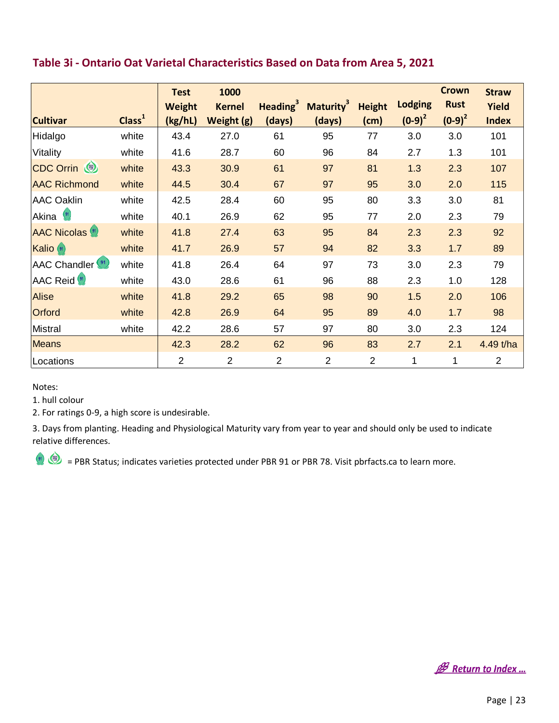<span id="page-23-0"></span>

| Table 3i - Ontario Oat Varietal Characteristics Based on Data from Area 5, 2021 |                    |                                         |                                     |                |                                                      |                       |                             |                                          |                                       |
|---------------------------------------------------------------------------------|--------------------|-----------------------------------------|-------------------------------------|----------------|------------------------------------------------------|-----------------------|-----------------------------|------------------------------------------|---------------------------------------|
| <b>Cultivar</b>                                                                 | Class <sup>1</sup> | <b>Test</b><br><b>Weight</b><br>(kg/hL) | 1000<br><b>Kernel</b><br>Weight (g) | (days)         | Heading <sup>3</sup> Maturity <sup>3</sup><br>(days) | <b>Height</b><br>(cm) | <b>Lodging</b><br>$(0-9)^2$ | <b>Crown</b><br><b>Rust</b><br>$(0-9)^2$ | <b>Straw</b><br>Yield<br><b>Index</b> |
| Hidalgo                                                                         | white              | 43.4                                    | 27.0                                | 61             | 95                                                   | 77                    | 3.0                         | 3.0                                      | 101                                   |
| Vitality                                                                        | white              | 41.6                                    | 28.7                                | 60             | 96                                                   | 84                    | 2.7                         | 1.3                                      | 101                                   |
| CDC Orrin (                                                                     | white              | 43.3                                    | 30.9                                | 61             | 97                                                   | 81                    | 1.3                         | 2.3                                      | 107                                   |
| <b>AAC Richmond</b>                                                             | white              | 44.5                                    | 30.4                                | 67             | 97                                                   | 95                    | 3.0                         | 2.0                                      | 115                                   |
| <b>AAC Oaklin</b>                                                               | white              | 42.5                                    | 28.4                                | 60             | 95                                                   | 80                    | 3.3                         | 3.0                                      | 81                                    |
| Akina (91)                                                                      | white              | 40.1                                    | 26.9                                | 62             | 95                                                   | 77                    | 2.0                         | 2.3                                      | 79                                    |
| <b>AAC Nicolas (91)</b>                                                         | white              | 41.8                                    | 27.4                                | 63             | 95                                                   | 84                    | 2.3                         | 2.3                                      | 92                                    |
| Kalio (91)                                                                      | white              | 41.7                                    | 26.9                                | 57             | 94                                                   | 82                    | 3.3                         | 1.7                                      | 89                                    |
| AAC Chandler <sup>(91)</sup>                                                    | white              | 41.8                                    | 26.4                                | 64             | 97                                                   | 73                    | 3.0                         | 2.3                                      | 79                                    |
| AAC Reid <sup>(91)</sup>                                                        | white              | 43.0                                    | 28.6                                | 61             | 96                                                   | 88                    | 2.3                         | 1.0                                      | 128                                   |
| Alise                                                                           | white              | 41.8                                    | 29.2                                | 65             | 98                                                   | 90                    | 1.5                         | 2.0                                      | 106                                   |
| Orford                                                                          | white              | 42.8                                    | 26.9                                | 64             | 95                                                   | 89                    | 4.0                         | 1.7                                      | 98                                    |
| Mistral                                                                         | white              | 42.2                                    | 28.6                                | 57             | 97                                                   | 80                    | 3.0                         | 2.3                                      | 124                                   |
| <b>Means</b>                                                                    |                    | 42.3                                    | 28.2                                | 62             | 96                                                   | 83                    | 2.7                         | 2.1                                      | 4.49 t/ha                             |
| Locations                                                                       |                    | $\overline{2}$                          | $\overline{2}$                      | $\overline{2}$ | $\overline{2}$                                       | $\overline{2}$        | $\mathbf 1$                 | 1                                        | $\overline{2}$                        |

Notes:

1. hull colour

2. For ratings 0-9, a high score is undesirable.

3. Days from planting. Heading and Physiological Maturity vary from year to year and should only be used to indicate relative differences.

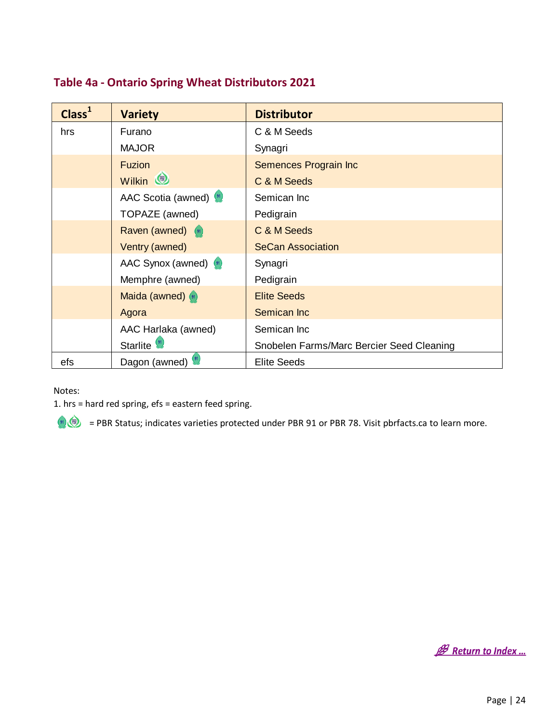#### <span id="page-24-0"></span>**Table 4a - Ontario Spring Wheat Distributors 2021**

| Class <sup>1</sup> | <b>Variety</b>         | <b>Distributor</b>                        |
|--------------------|------------------------|-------------------------------------------|
| hrs                | Furano                 | C & M Seeds                               |
|                    | <b>MAJOR</b>           | Synagri                                   |
|                    | <b>Fuzion</b>          | Semences Prograin Inc                     |
|                    | Wilkin (               | C & M Seeds                               |
|                    | AAC Scotia (awned)     | Semican Inc                               |
|                    | TOPAZE (awned)         | Pedigrain                                 |
|                    | Raven (awned) (91)     | C & M Seeds                               |
|                    | Ventry (awned)         | <b>SeCan Association</b>                  |
|                    | AAC Synox (awned) (91) | Synagri                                   |
|                    | Memphre (awned)        | Pedigrain                                 |
|                    | Maida (awned) (91)     | <b>Elite Seeds</b>                        |
|                    | Agora                  | Semican Inc                               |
|                    | AAC Harlaka (awned)    | Semican Inc                               |
|                    | Starlite <sup>9</sup>  | Snobelen Farms/Marc Bercier Seed Cleaning |
| efs                | Dagon (awned)          | <b>Elite Seeds</b>                        |

Notes:

1. hrs = hard red spring, efs = eastern feed spring.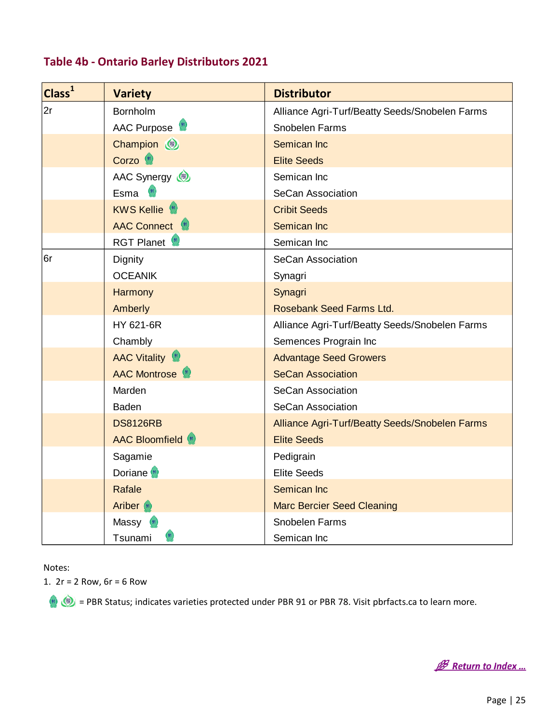| Class <sup>1</sup> | <b>Variety</b>               | <b>Distributor</b>                             |
|--------------------|------------------------------|------------------------------------------------|
| 2r                 | <b>Bornholm</b>              | Alliance Agri-Turf/Beatty Seeds/Snobelen Farms |
|                    | AAC Purpose                  | Snobelen Farms                                 |
|                    | Champion (                   | Semican Inc                                    |
|                    | Corzo <sup>(91)</sup>        | <b>Elite Seeds</b>                             |
|                    | AAC Synergy                  | Semican Inc                                    |
|                    | Esma <sup>(91)</sup>         | <b>SeCan Association</b>                       |
|                    | <b>KWS Kellie</b>            | <b>Cribit Seeds</b>                            |
|                    | AAC Connect (91)             | Semican Inc                                    |
|                    | <b>RGT Planet</b>            | Semican Inc                                    |
| 6r                 | Dignity                      | <b>SeCan Association</b>                       |
|                    | <b>OCEANIK</b>               | Synagri                                        |
|                    | Harmony                      | Synagri                                        |
|                    | Amberly                      | Rosebank Seed Farms Ltd.                       |
|                    | HY 621-6R                    | Alliance Agri-Turf/Beatty Seeds/Snobelen Farms |
|                    | Chambly                      | Semences Prograin Inc                          |
|                    | <b>AAC Vitality</b>          | <b>Advantage Seed Growers</b>                  |
|                    | AAC Montrose <sup>(91)</sup> | <b>SeCan Association</b>                       |
|                    | Marden                       | <b>SeCan Association</b>                       |
|                    | <b>Baden</b>                 | <b>SeCan Association</b>                       |
|                    | <b>DS8126RB</b>              | Alliance Agri-Turf/Beatty Seeds/Snobelen Farms |
|                    | AAC Bloomfield (91)          | <b>Elite Seeds</b>                             |
|                    | Sagamie                      | Pedigrain                                      |
|                    | Doriane <sup>(91)</sup>      | <b>Elite Seeds</b>                             |
|                    | Rafale                       | Semican Inc                                    |
|                    | <b>Ariber</b> (91)           | <b>Marc Bercier Seed Cleaning</b>              |
|                    | Massy                        | Snobelen Farms                                 |
|                    | Tsunami                      | Semican Inc                                    |

#### <span id="page-25-0"></span>**Table 4b - Ontario Barley Distributors 2021**

Notes:

1. 2r = 2 Row, 6r = 6 Row

**B** Return to Index ...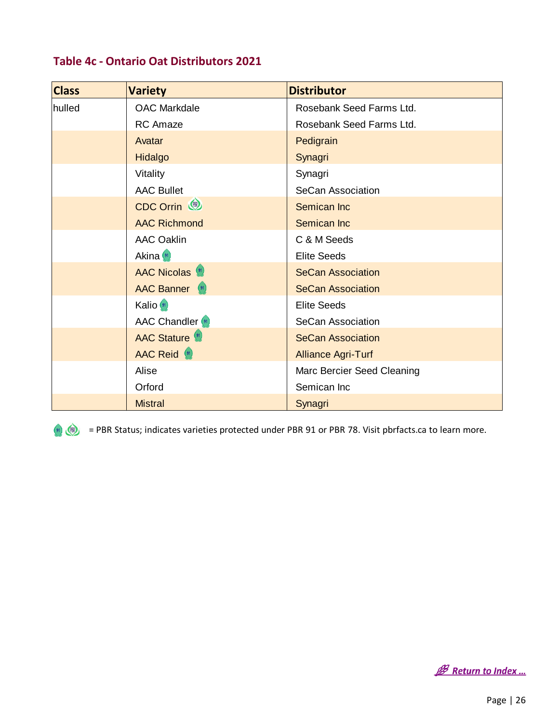<span id="page-26-0"></span>

|  |  |  | Table 4c - Ontario Oat Distributors 2021 |  |
|--|--|--|------------------------------------------|--|
|--|--|--|------------------------------------------|--|

| <b>Class</b> | <b>Variety</b>                | <b>Distributor</b>         |
|--------------|-------------------------------|----------------------------|
| hulled       | <b>OAC Markdale</b>           | Rosebank Seed Farms Ltd.   |
|              | <b>RC</b> Amaze               | Rosebank Seed Farms Ltd.   |
|              | Avatar                        | Pedigrain                  |
|              | Hidalgo                       | Synagri                    |
|              | Vitality                      | Synagri                    |
|              | <b>AAC Bullet</b>             | SeCan Association          |
|              | CDC Orrin                     | Semican Inc                |
|              | <b>AAC Richmond</b>           | Semican Inc                |
|              | <b>AAC Oaklin</b>             | C & M Seeds                |
|              | Akina (91)                    | <b>Elite Seeds</b>         |
|              | <b>AAC Nicolas</b> (91)       | <b>SeCan Association</b>   |
|              | <b>AAC Banner</b>             | <b>SeCan Association</b>   |
|              | Kalio <sup>(91</sup> )        | <b>Elite Seeds</b>         |
|              | <b>AAC Chandler</b> (91)      | SeCan Association          |
|              | <b>AAC Stature</b>            | <b>SeCan Association</b>   |
|              | <b>AAC Reid</b> <sup>91</sup> | <b>Alliance Agri-Turf</b>  |
|              | Alise                         | Marc Bercier Seed Cleaning |
|              | Orford                        | Semican Inc                |
|              | <b>Mistral</b>                | Synagri                    |